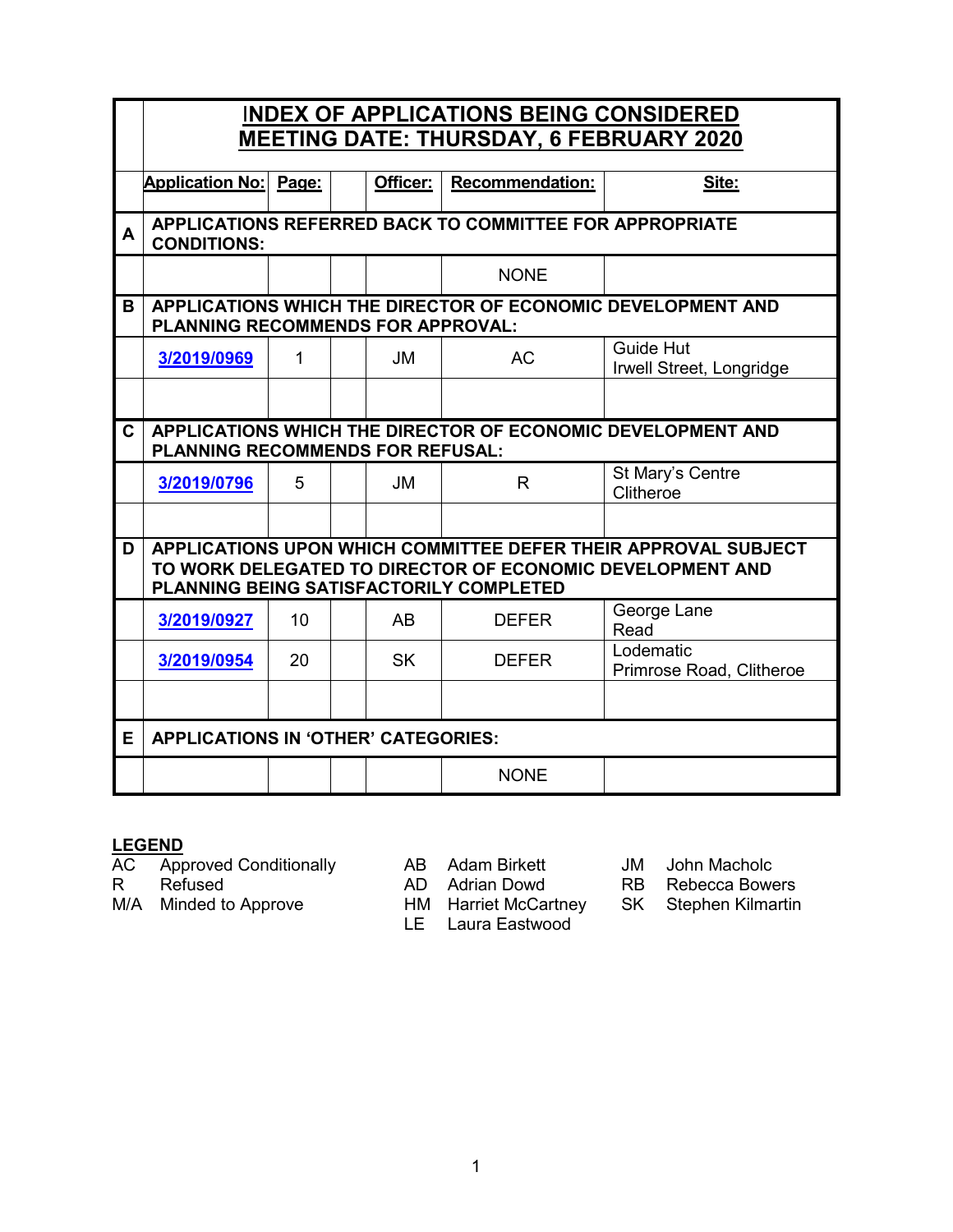|              | <b>INDEX OF APPLICATIONS BEING CONSIDERED</b><br><b>MEETING DATE: THURSDAY, 6 FEBRUARY 2020</b>                                                                        |       |  |           |                        |                                              |  |  |
|--------------|------------------------------------------------------------------------------------------------------------------------------------------------------------------------|-------|--|-----------|------------------------|----------------------------------------------|--|--|
|              |                                                                                                                                                                        |       |  |           |                        |                                              |  |  |
|              | <b>Application No:</b>                                                                                                                                                 | Page: |  | Officer:  | <b>Recommendation:</b> | Site:                                        |  |  |
| A            | APPLICATIONS REFERRED BACK TO COMMITTEE FOR APPROPRIATE<br><b>CONDITIONS:</b>                                                                                          |       |  |           |                        |                                              |  |  |
|              |                                                                                                                                                                        |       |  |           | <b>NONE</b>            |                                              |  |  |
| B            | APPLICATIONS WHICH THE DIRECTOR OF ECONOMIC DEVELOPMENT AND<br>PLANNING RECOMMENDS FOR APPROVAL:                                                                       |       |  |           |                        |                                              |  |  |
|              | 3/2019/0969                                                                                                                                                            | 1     |  | <b>JM</b> | <b>AC</b>              | <b>Guide Hut</b><br>Irwell Street, Longridge |  |  |
|              |                                                                                                                                                                        |       |  |           |                        |                                              |  |  |
| $\mathbf{C}$ | APPLICATIONS WHICH THE DIRECTOR OF ECONOMIC DEVELOPMENT AND<br><b>PLANNING RECOMMENDS FOR REFUSAL:</b>                                                                 |       |  |           |                        |                                              |  |  |
|              | 3/2019/0796                                                                                                                                                            | 5     |  | <b>JM</b> | $\mathsf{R}$           | St Mary's Centre<br>Clitheroe                |  |  |
|              |                                                                                                                                                                        |       |  |           |                        |                                              |  |  |
| D            | APPLICATIONS UPON WHICH COMMITTEE DEFER THEIR APPROVAL SUBJECT<br>TO WORK DELEGATED TO DIRECTOR OF ECONOMIC DEVELOPMENT AND<br>PLANNING BEING SATISFACTORILY COMPLETED |       |  |           |                        |                                              |  |  |
|              | 3/2019/0927                                                                                                                                                            | 10    |  | AB        | <b>DEFER</b>           | George Lane<br>Read                          |  |  |
|              | 3/2019/0954                                                                                                                                                            | 20    |  | <b>SK</b> | <b>DEFER</b>           | Lodematic<br>Primrose Road, Clitheroe        |  |  |
|              |                                                                                                                                                                        |       |  |           |                        |                                              |  |  |
| E.           | <b>APPLICATIONS IN 'OTHER' CATEGORIES:</b>                                                                                                                             |       |  |           |                        |                                              |  |  |
|              |                                                                                                                                                                        |       |  |           | <b>NONE</b>            |                                              |  |  |

# **LEGEND**<br>AC App

AC Approved Conditionally AB Adam Birkett and JM John Macholc<br>R Refused **AD Adrian Dowd** RB Rebecca Bowe

MU Marian Bows<br>HM Harriet McCartney

LE Laura Eastwood

R Refused AD Adrian Dowd RB Rebecca Bowers<br>M/A Minded to Approve HM Harriet McCartney SK Stephen Kilmartin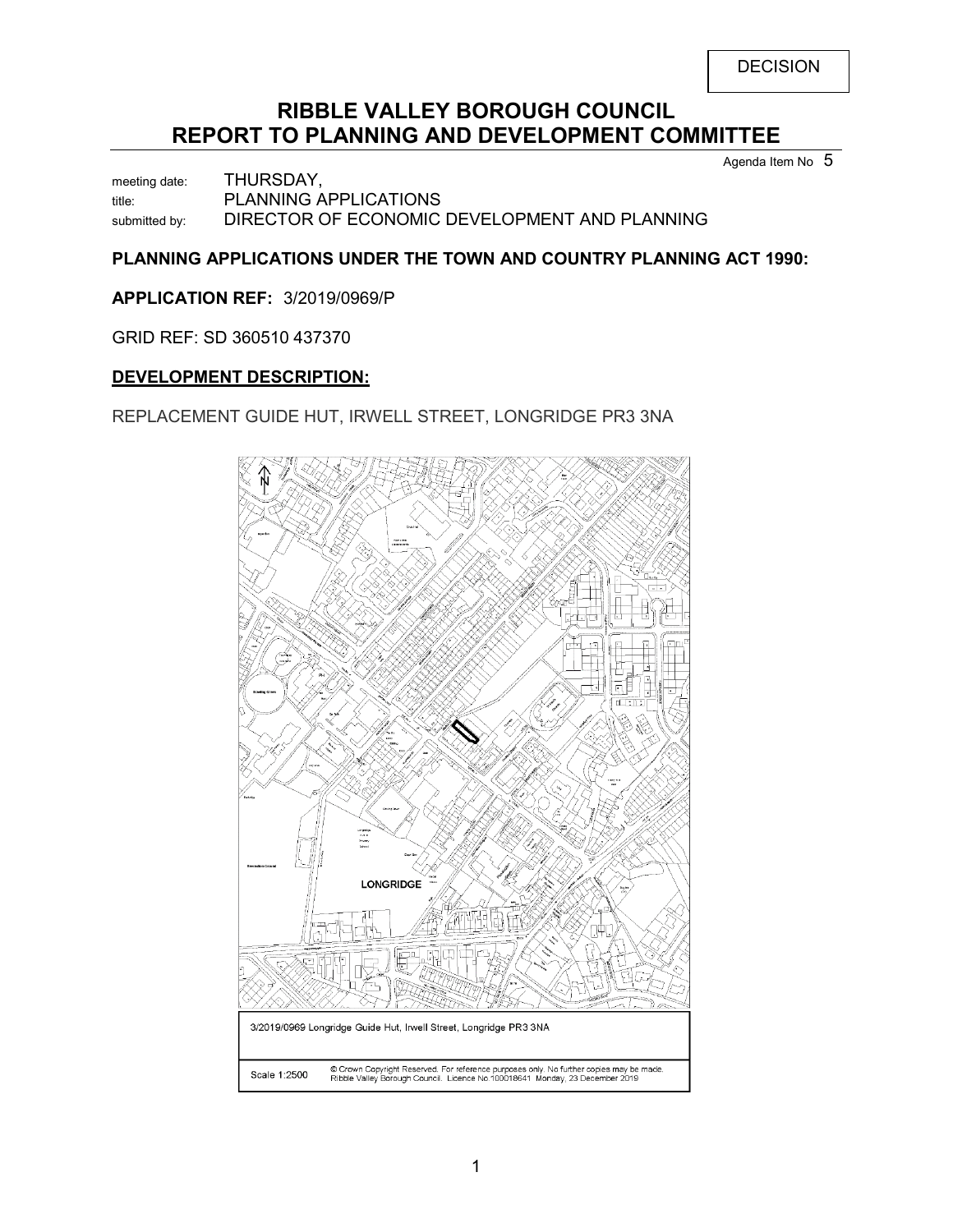# **RIBBLE VALLEY BOROUGH COUNCIL REPORT TO PLANNING AND DEVELOPMENT COMMITTEE**

Agenda Item No 5

meeting date: THURSDAY, title: PLANNING APPLICATIONS submitted by: DIRECTOR OF ECONOMIC DEVELOPMENT AND PLANNING

# **PLANNING APPLICATIONS UNDER THE TOWN AND COUNTRY PLANNING ACT 1990:**

**APPLICATION REF:** 3/2019/0969/P

GRID REF: SD 360510 437370

## **DEVELOPMENT DESCRIPTION:**

REPLACEMENT GUIDE HUT, IRWELL STREET, LONGRIDGE PR3 3NA

<span id="page-1-0"></span>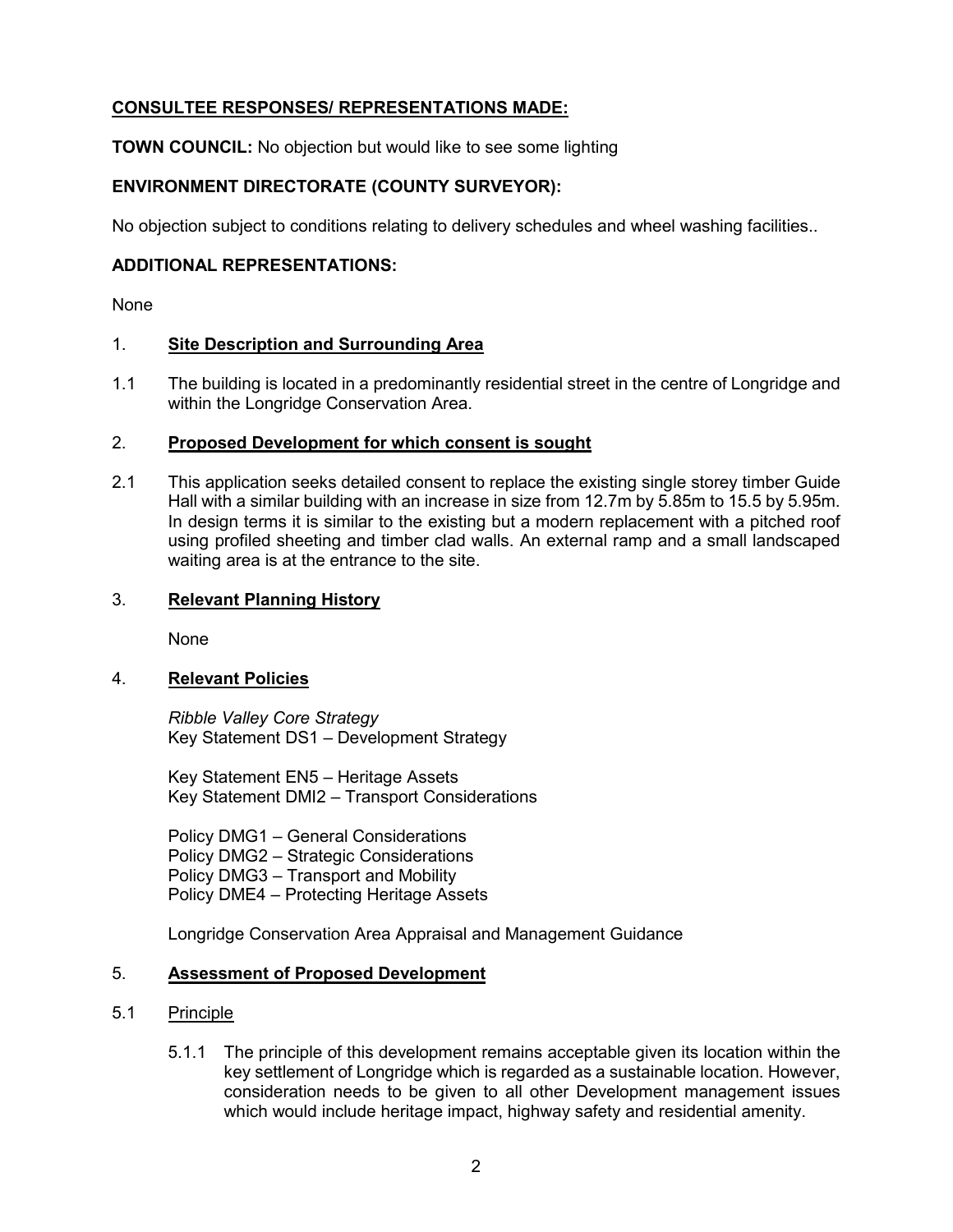# **CONSULTEE RESPONSES/ REPRESENTATIONS MADE:**

**TOWN COUNCIL:** No objection but would like to see some lighting

# **ENVIRONMENT DIRECTORATE (COUNTY SURVEYOR):**

No objection subject to conditions relating to delivery schedules and wheel washing facilities..

#### **ADDITIONAL REPRESENTATIONS:**

None

#### 1. **Site Description and Surrounding Area**

1.1 The building is located in a predominantly residential street in the centre of Longridge and within the Longridge Conservation Area.

#### 2. **Proposed Development for which consent is sought**

2.1 This application seeks detailed consent to replace the existing single storey timber Guide Hall with a similar building with an increase in size from 12.7m by 5.85m to 15.5 by 5.95m. In design terms it is similar to the existing but a modern replacement with a pitched roof using profiled sheeting and timber clad walls. An external ramp and a small landscaped waiting area is at the entrance to the site.

## 3. **Relevant Planning History**

None

#### 4. **Relevant Policies**

*Ribble Valley Core Strategy*  Key Statement DS1 – Development Strategy

Key Statement EN5 – Heritage Assets Key Statement DMI2 – Transport Considerations

Policy DMG1 – General Considerations Policy DMG2 – Strategic Considerations Policy DMG3 – Transport and Mobility Policy DME4 – Protecting Heritage Assets

Longridge Conservation Area Appraisal and Management Guidance

## 5. **Assessment of Proposed Development**

## 5.1 Principle

5.1.1 The principle of this development remains acceptable given its location within the key settlement of Longridge which is regarded as a sustainable location. However, consideration needs to be given to all other Development management issues which would include heritage impact, highway safety and residential amenity.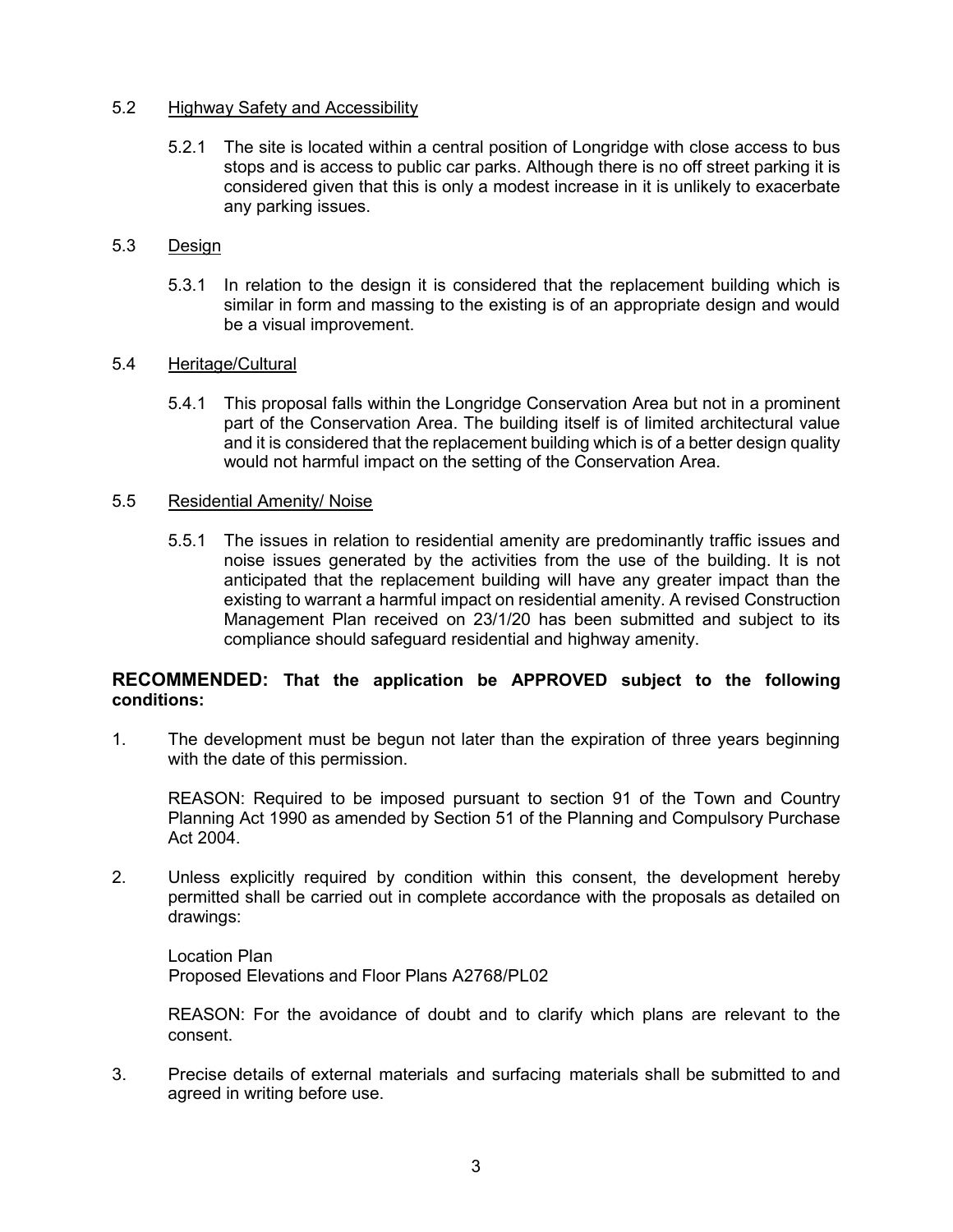#### 5.2 Highway Safety and Accessibility

5.2.1 The site is located within a central position of Longridge with close access to bus stops and is access to public car parks. Although there is no off street parking it is considered given that this is only a modest increase in it is unlikely to exacerbate any parking issues.

## 5.3 Design

5.3.1 In relation to the design it is considered that the replacement building which is similar in form and massing to the existing is of an appropriate design and would be a visual improvement.

#### 5.4 Heritage/Cultural

5.4.1 This proposal falls within the Longridge Conservation Area but not in a prominent part of the Conservation Area. The building itself is of limited architectural value and it is considered that the replacement building which is of a better design quality would not harmful impact on the setting of the Conservation Area.

#### 5.5 Residential Amenity/ Noise

5.5.1 The issues in relation to residential amenity are predominantly traffic issues and noise issues generated by the activities from the use of the building. It is not anticipated that the replacement building will have any greater impact than the existing to warrant a harmful impact on residential amenity. A revised Construction Management Plan received on 23/1/20 has been submitted and subject to its compliance should safeguard residential and highway amenity.

#### **RECOMMENDED: That the application be APPROVED subject to the following conditions:**

1. The development must be begun not later than the expiration of three years beginning with the date of this permission.

 REASON: Required to be imposed pursuant to section 91 of the Town and Country Planning Act 1990 as amended by Section 51 of the Planning and Compulsory Purchase Act 2004.

2. Unless explicitly required by condition within this consent, the development hereby permitted shall be carried out in complete accordance with the proposals as detailed on drawings:

Location Plan Proposed Elevations and Floor Plans A2768/PL02

REASON: For the avoidance of doubt and to clarify which plans are relevant to the consent.

3. Precise details of external materials and surfacing materials shall be submitted to and agreed in writing before use.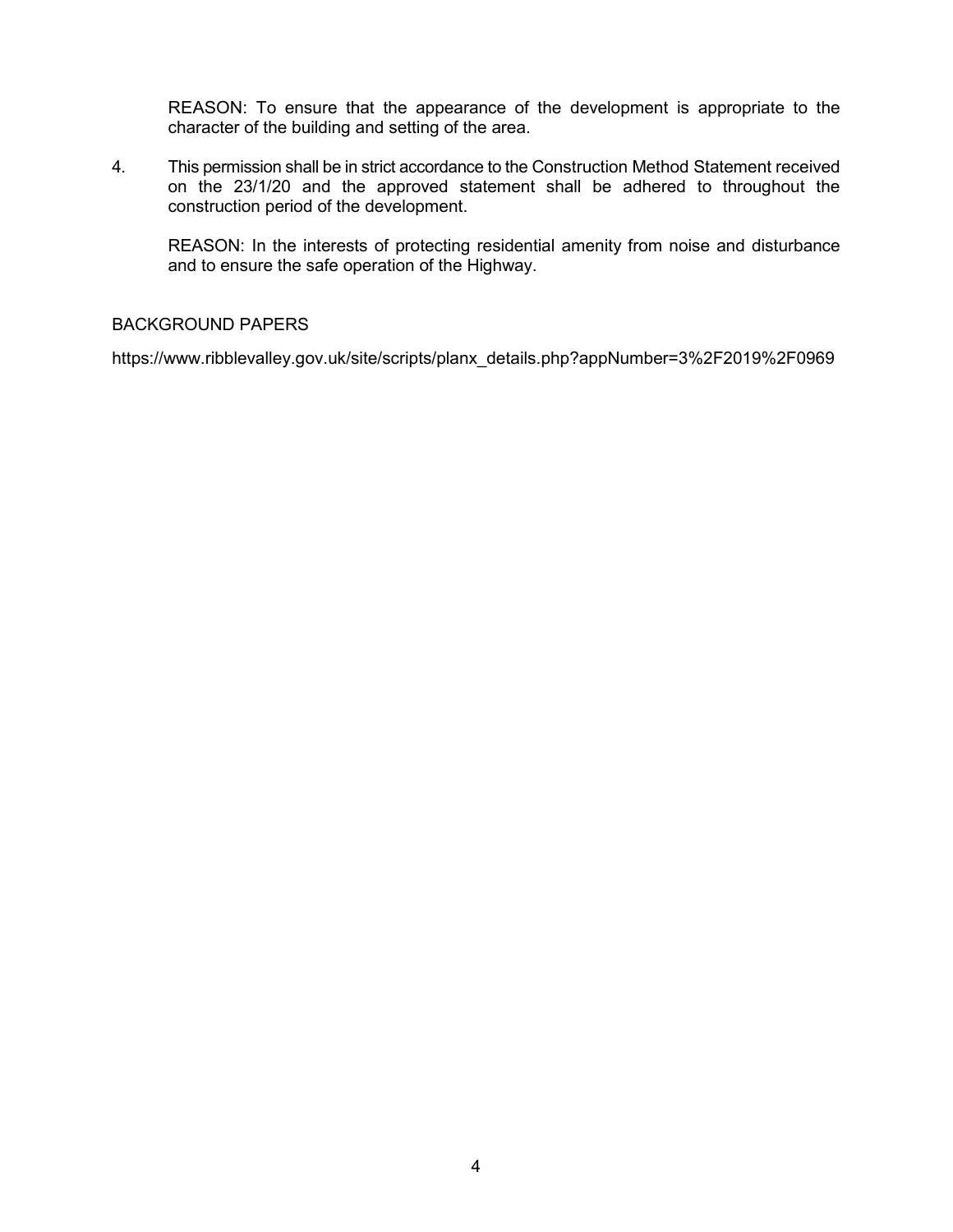REASON: To ensure that the appearance of the development is appropriate to the character of the building and setting of the area.

4. This permission shall be in strict accordance to the Construction Method Statement received on the 23/1/20 and the approved statement shall be adhered to throughout the construction period of the development.

 REASON: In the interests of protecting residential amenity from noise and disturbance and to ensure the safe operation of the Highway.

## BACKGROUND PAPERS

[https://www.ribblevalley.gov.uk/site/scripts/planx\\_details.php?appNumber=3%2F2019%2F0969](https://www.ribblevalley.gov.uk/site/scripts/planx_details.php?appNumber=3%2F2019%2F0969)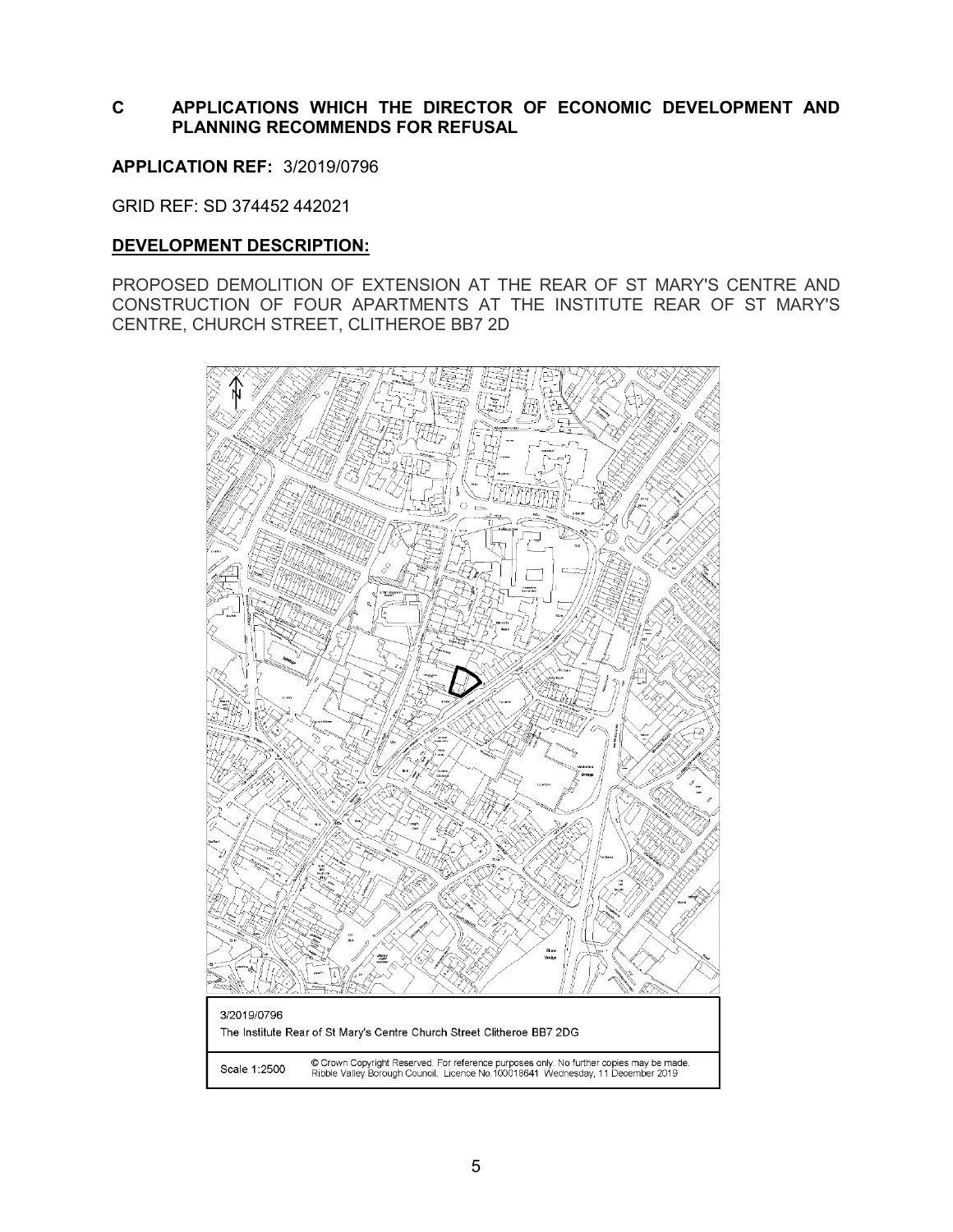## **C APPLICATIONS WHICH THE DIRECTOR OF ECONOMIC DEVELOPMENT AND PLANNING RECOMMENDS FOR REFUSAL**

<span id="page-5-0"></span>**APPLICATION REF:** 3/2019/0796

GRID REF: SD 374452 442021

#### **DEVELOPMENT DESCRIPTION:**

PROPOSED DEMOLITION OF EXTENSION AT THE REAR OF ST MARY'S CENTRE AND CONSTRUCTION OF FOUR APARTMENTS AT THE INSTITUTE REAR OF ST MARY'S CENTRE, CHURCH STREET, CLITHEROE BB7 2D

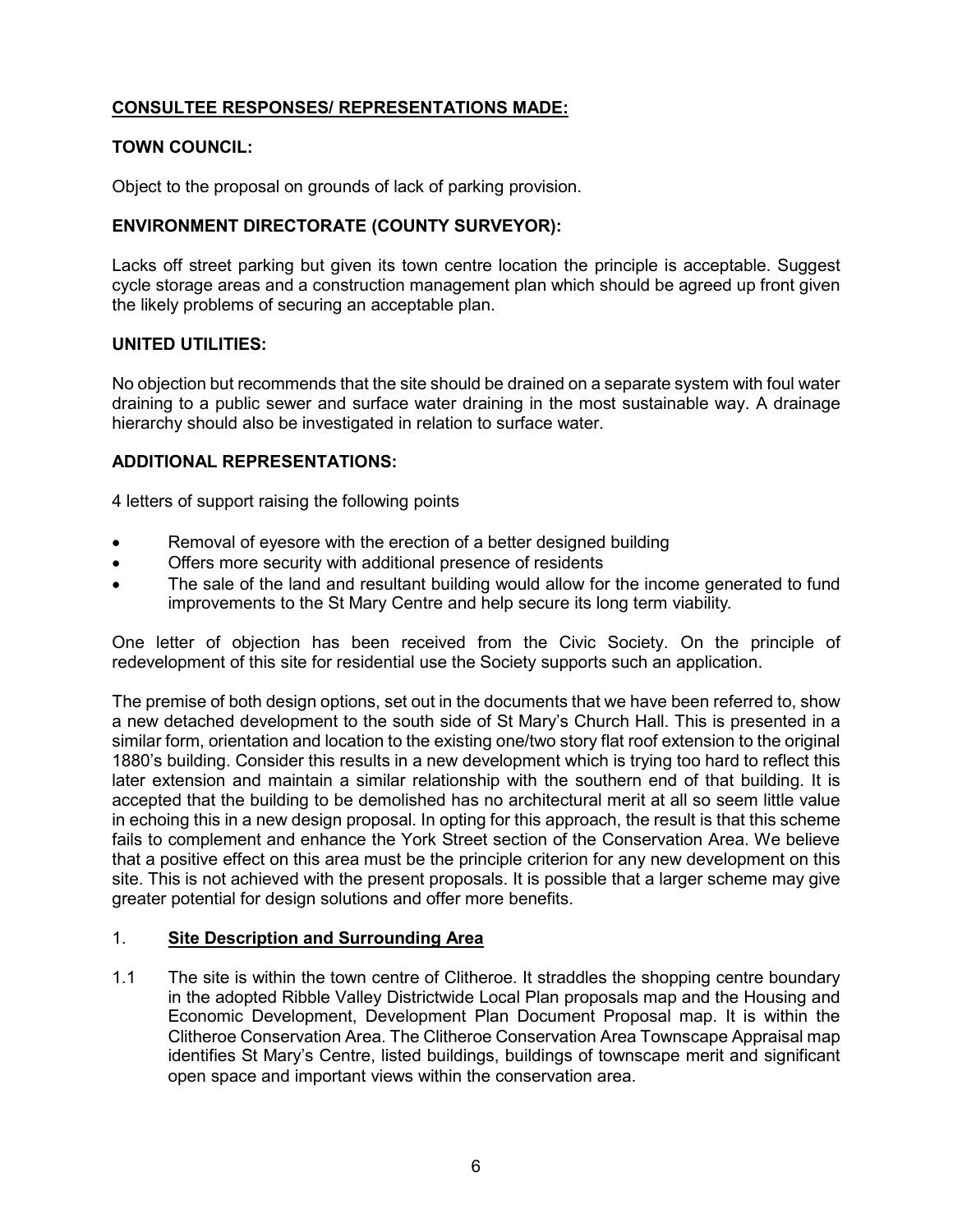# **CONSULTEE RESPONSES/ REPRESENTATIONS MADE:**

# **TOWN COUNCIL:**

Object to the proposal on grounds of lack of parking provision.

# **ENVIRONMENT DIRECTORATE (COUNTY SURVEYOR):**

Lacks off street parking but given its town centre location the principle is acceptable. Suggest cycle storage areas and a construction management plan which should be agreed up front given the likely problems of securing an acceptable plan.

## **UNITED UTILITIES:**

No objection but recommends that the site should be drained on a separate system with foul water draining to a public sewer and surface water draining in the most sustainable way. A drainage hierarchy should also be investigated in relation to surface water.

## **ADDITIONAL REPRESENTATIONS:**

4 letters of support raising the following points

- Removal of eyesore with the erection of a better designed building
- Offers more security with additional presence of residents
- The sale of the land and resultant building would allow for the income generated to fund improvements to the St Mary Centre and help secure its long term viability.

One letter of objection has been received from the Civic Society. On the principle of redevelopment of this site for residential use the Society supports such an application.

The premise of both design options, set out in the documents that we have been referred to, show a new detached development to the south side of St Mary's Church Hall. This is presented in a similar form, orientation and location to the existing one/two story flat roof extension to the original 1880's building. Consider this results in a new development which is trying too hard to reflect this later extension and maintain a similar relationship with the southern end of that building. It is accepted that the building to be demolished has no architectural merit at all so seem little value in echoing this in a new design proposal. In opting for this approach, the result is that this scheme fails to complement and enhance the York Street section of the Conservation Area. We believe that a positive effect on this area must be the principle criterion for any new development on this site. This is not achieved with the present proposals. It is possible that a larger scheme may give greater potential for design solutions and offer more benefits.

## 1. **Site Description and Surrounding Area**

1.1 The site is within the town centre of Clitheroe. It straddles the shopping centre boundary in the adopted Ribble Valley Districtwide Local Plan proposals map and the Housing and Economic Development, Development Plan Document Proposal map. It is within the Clitheroe Conservation Area. The Clitheroe Conservation Area Townscape Appraisal map identifies St Mary's Centre, listed buildings, buildings of townscape merit and significant open space and important views within the conservation area.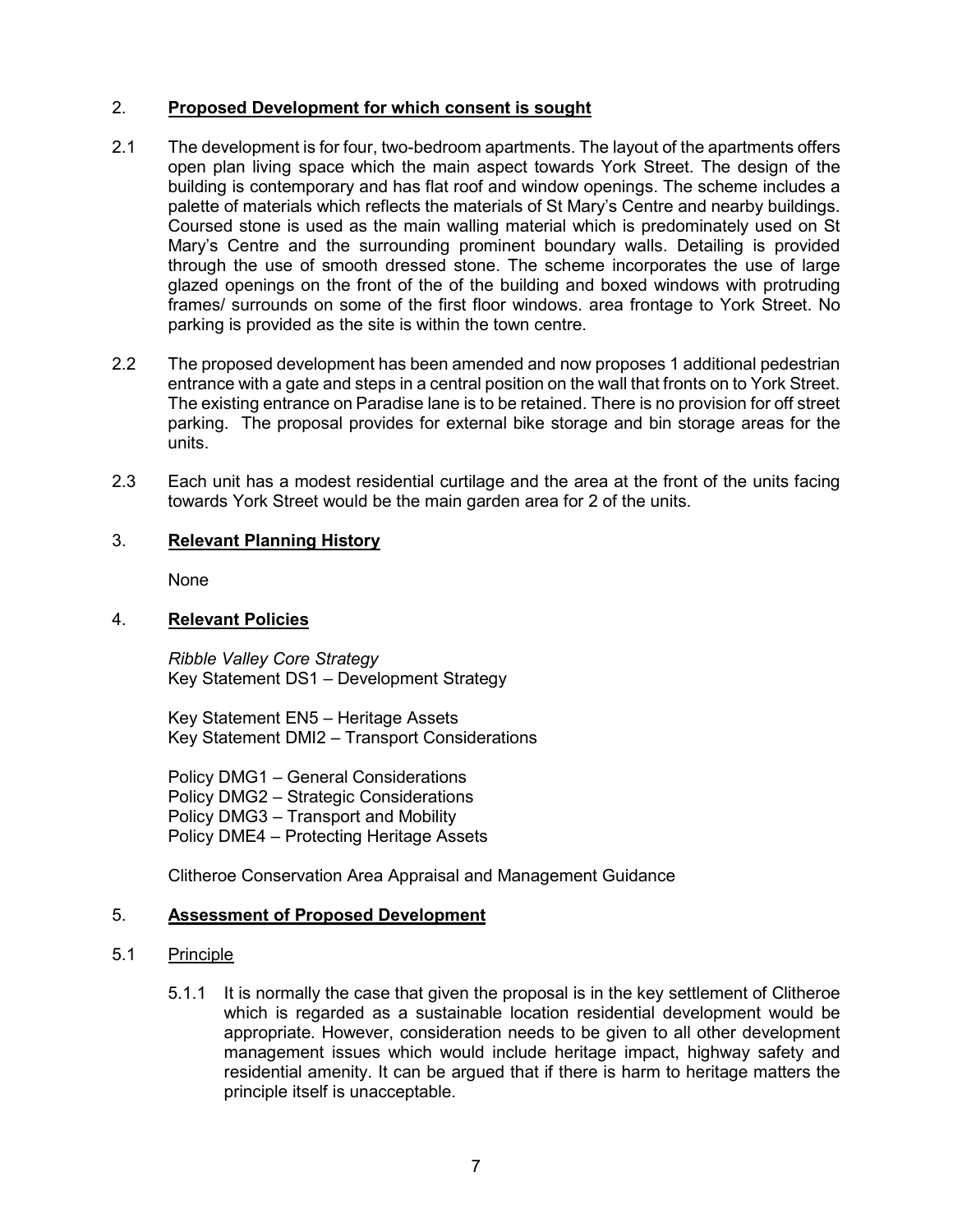# 2. **Proposed Development for which consent is sought**

- 2.1 The development is for four, two-bedroom apartments. The layout of the apartments offers open plan living space which the main aspect towards York Street. The design of the building is contemporary and has flat roof and window openings. The scheme includes a palette of materials which reflects the materials of St Mary's Centre and nearby buildings. Coursed stone is used as the main walling material which is predominately used on St Mary's Centre and the surrounding prominent boundary walls. Detailing is provided through the use of smooth dressed stone. The scheme incorporates the use of large glazed openings on the front of the of the building and boxed windows with protruding frames/ surrounds on some of the first floor windows. area frontage to York Street. No parking is provided as the site is within the town centre.
- 2.2 The proposed development has been amended and now proposes 1 additional pedestrian entrance with a gate and steps in a central position on the wall that fronts on to York Street. The existing entrance on Paradise lane is to be retained. There is no provision for off street parking. The proposal provides for external bike storage and bin storage areas for the units.
- 2.3 Each unit has a modest residential curtilage and the area at the front of the units facing towards York Street would be the main garden area for 2 of the units.

# 3. **Relevant Planning History**

None

# 4. **Relevant Policies**

*Ribble Valley Core Strategy*  Key Statement DS1 – Development Strategy

Key Statement EN5 – Heritage Assets Key Statement DMI2 – Transport Considerations

Policy DMG1 – General Considerations Policy DMG2 – Strategic Considerations Policy DMG3 – Transport and Mobility Policy DME4 – Protecting Heritage Assets

Clitheroe Conservation Area Appraisal and Management Guidance

## 5. **Assessment of Proposed Development**

## 5.1 Principle

5.1.1 It is normally the case that given the proposal is in the key settlement of Clitheroe which is regarded as a sustainable location residential development would be appropriate. However, consideration needs to be given to all other development management issues which would include heritage impact, highway safety and residential amenity. It can be argued that if there is harm to heritage matters the principle itself is unacceptable.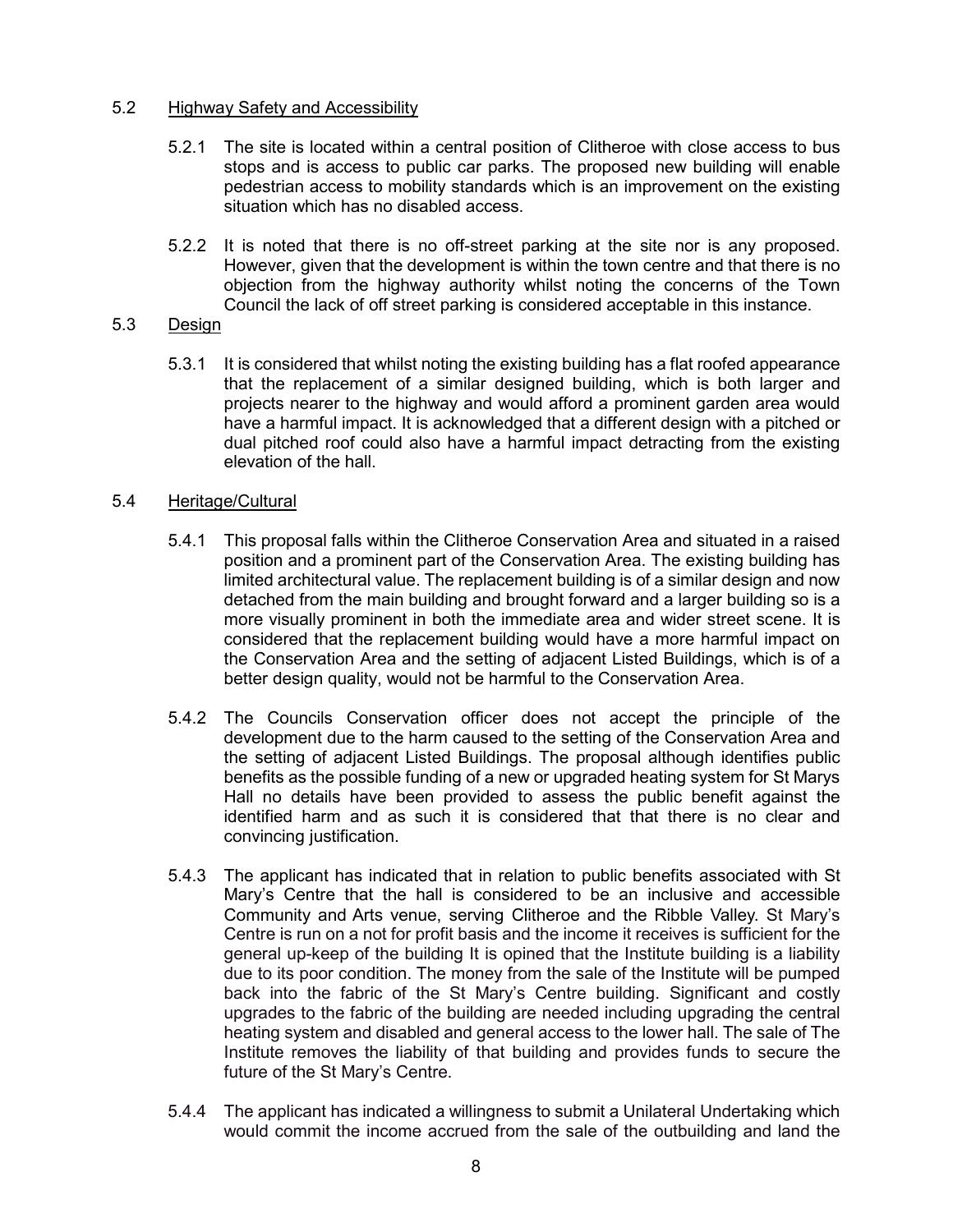#### 5.2 Highway Safety and Accessibility

- 5.2.1 The site is located within a central position of Clitheroe with close access to bus stops and is access to public car parks. The proposed new building will enable pedestrian access to mobility standards which is an improvement on the existing situation which has no disabled access.
- 5.2.2 It is noted that there is no off-street parking at the site nor is any proposed. However, given that the development is within the town centre and that there is no objection from the highway authority whilst noting the concerns of the Town Council the lack of off street parking is considered acceptable in this instance.

#### 5.3 Design

5.3.1 It is considered that whilst noting the existing building has a flat roofed appearance that the replacement of a similar designed building, which is both larger and projects nearer to the highway and would afford a prominent garden area would have a harmful impact. It is acknowledged that a different design with a pitched or dual pitched roof could also have a harmful impact detracting from the existing elevation of the hall.

#### 5.4 Heritage/Cultural

- 5.4.1 This proposal falls within the Clitheroe Conservation Area and situated in a raised position and a prominent part of the Conservation Area. The existing building has limited architectural value. The replacement building is of a similar design and now detached from the main building and brought forward and a larger building so is a more visually prominent in both the immediate area and wider street scene. It is considered that the replacement building would have a more harmful impact on the Conservation Area and the setting of adjacent Listed Buildings, which is of a better design quality, would not be harmful to the Conservation Area.
- 5.4.2 The Councils Conservation officer does not accept the principle of the development due to the harm caused to the setting of the Conservation Area and the setting of adjacent Listed Buildings. The proposal although identifies public benefits as the possible funding of a new or upgraded heating system for St Marys Hall no details have been provided to assess the public benefit against the identified harm and as such it is considered that that there is no clear and convincing justification.
- 5.4.3 The applicant has indicated that in relation to public benefits associated with St Mary's Centre that the hall is considered to be an inclusive and accessible Community and Arts venue, serving Clitheroe and the Ribble Valley. St Mary's Centre is run on a not for profit basis and the income it receives is sufficient for the general up-keep of the building It is opined that the Institute building is a liability due to its poor condition. The money from the sale of the Institute will be pumped back into the fabric of the St Mary's Centre building. Significant and costly upgrades to the fabric of the building are needed including upgrading the central heating system and disabled and general access to the lower hall. The sale of The Institute removes the liability of that building and provides funds to secure the future of the St Mary's Centre.
- 5.4.4 The applicant has indicated a willingness to submit a Unilateral Undertaking which would commit the income accrued from the sale of the outbuilding and land the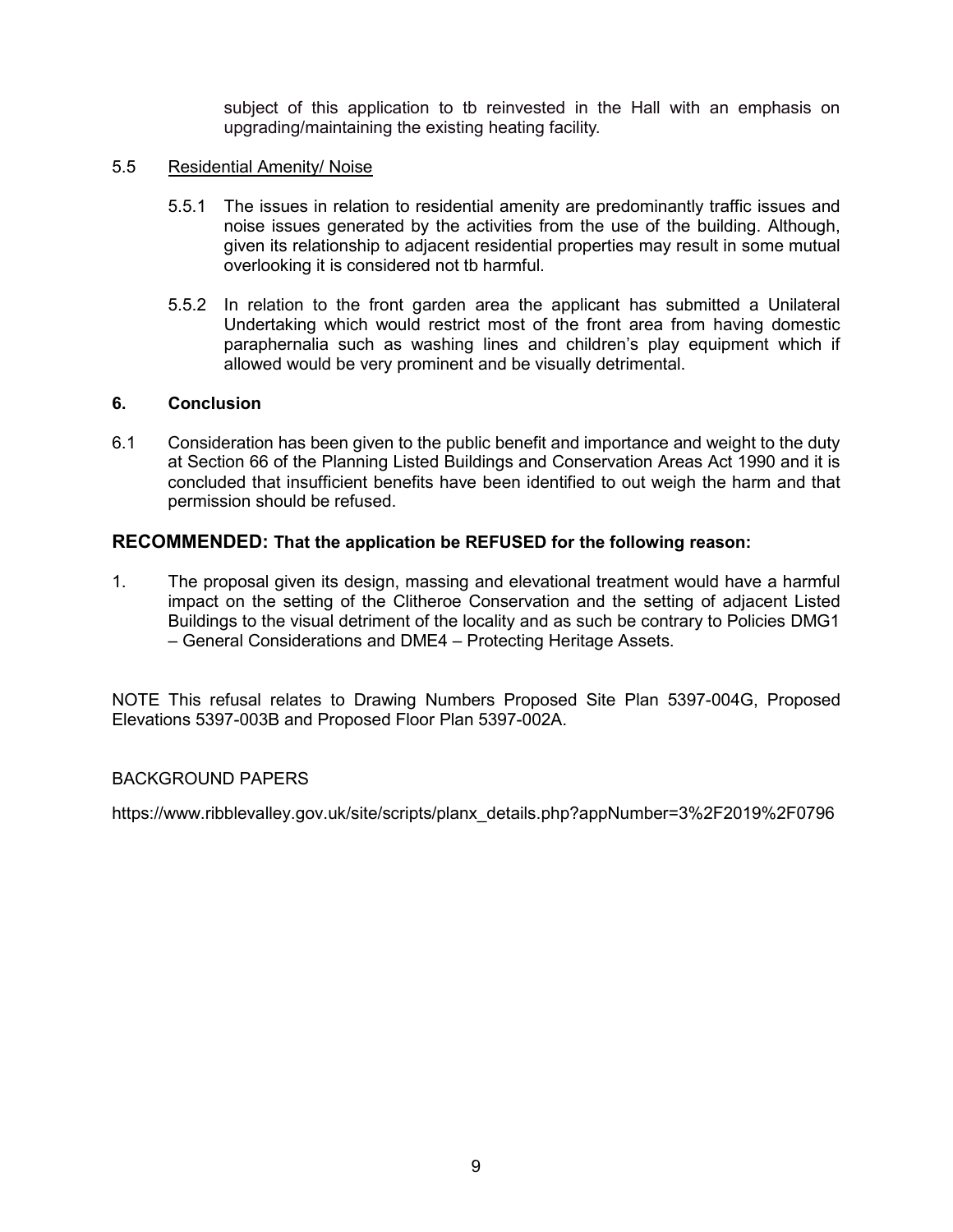subject of this application to tb reinvested in the Hall with an emphasis on upgrading/maintaining the existing heating facility.

#### 5.5 Residential Amenity/ Noise

- 5.5.1 The issues in relation to residential amenity are predominantly traffic issues and noise issues generated by the activities from the use of the building. Although, given its relationship to adjacent residential properties may result in some mutual overlooking it is considered not tb harmful.
- 5.5.2 In relation to the front garden area the applicant has submitted a Unilateral Undertaking which would restrict most of the front area from having domestic paraphernalia such as washing lines and children's play equipment which if allowed would be very prominent and be visually detrimental.

#### **6. Conclusion**

6.1 Consideration has been given to the public benefit and importance and weight to the duty at Section 66 of the Planning Listed Buildings and Conservation Areas Act 1990 and it is concluded that insufficient benefits have been identified to out weigh the harm and that permission should be refused.

## **RECOMMENDED: That the application be REFUSED for the following reason:**

1. The proposal given its design, massing and elevational treatment would have a harmful impact on the setting of the Clitheroe Conservation and the setting of adjacent Listed Buildings to the visual detriment of the locality and as such be contrary to Policies DMG1 – General Considerations and DME4 – Protecting Heritage Assets.

NOTE This refusal relates to Drawing Numbers Proposed Site Plan 5397-004G, Proposed Elevations 5397-003B and Proposed Floor Plan 5397-002A.

## BACKGROUND PAPERS

[https://www.ribblevalley.gov.uk/site/scripts/planx\\_details.php?appNumber=3%2F2019%2F0796](https://www.ribblevalley.gov.uk/site/scripts/planx_details.php?appNumber=3%2F2019%2F0796)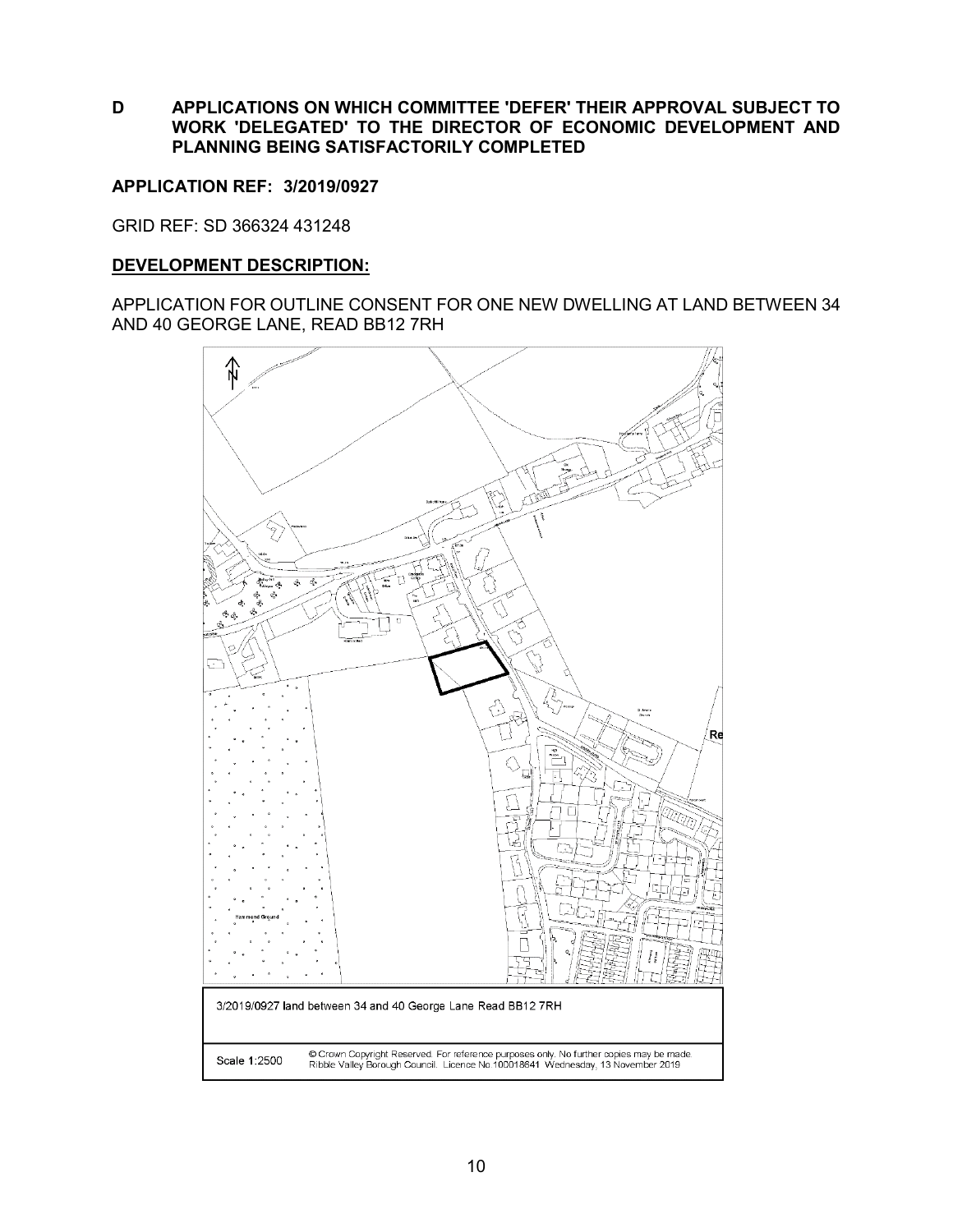**D APPLICATIONS ON WHICH COMMITTEE 'DEFER' THEIR APPROVAL SUBJECT TO WORK 'DELEGATED' TO THE DIRECTOR OF ECONOMIC DEVELOPMENT AND PLANNING BEING SATISFACTORILY COMPLETED**

#### <span id="page-10-0"></span>**APPLICATION REF: 3/2019/0927**

GRID REF: SD 366324 431248

#### **DEVELOPMENT DESCRIPTION:**

APPLICATION FOR OUTLINE CONSENT FOR ONE NEW DWELLING AT LAND BETWEEN 34 AND 40 GEORGE LANE, READ BB12 7RH

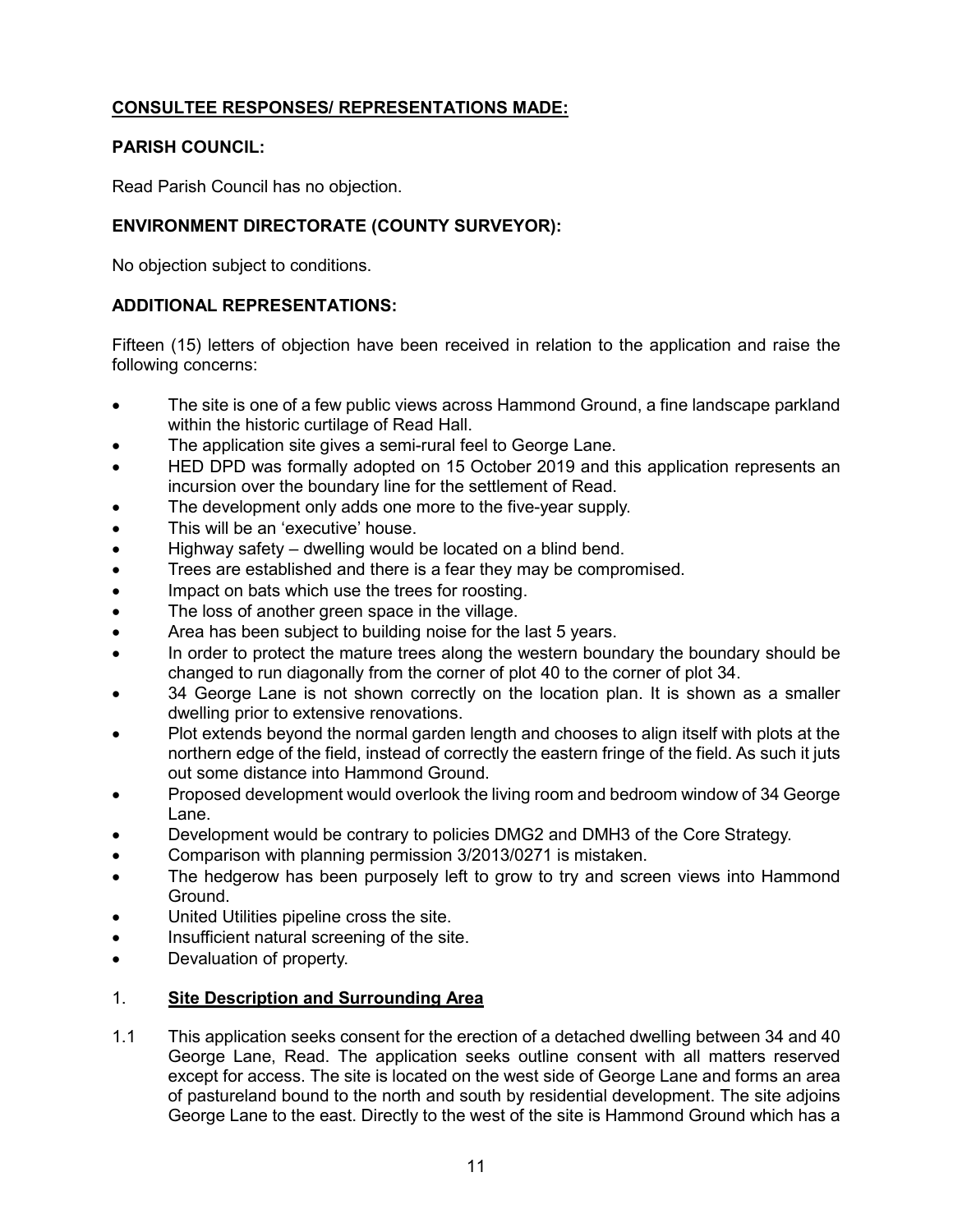# **CONSULTEE RESPONSES/ REPRESENTATIONS MADE:**

# **PARISH COUNCIL:**

Read Parish Council has no objection.

# **ENVIRONMENT DIRECTORATE (COUNTY SURVEYOR):**

No objection subject to conditions.

# **ADDITIONAL REPRESENTATIONS:**

Fifteen (15) letters of objection have been received in relation to the application and raise the following concerns:

- The site is one of a few public views across Hammond Ground, a fine landscape parkland within the historic curtilage of Read Hall.
- The application site gives a semi-rural feel to George Lane.
- HED DPD was formally adopted on 15 October 2019 and this application represents an incursion over the boundary line for the settlement of Read.
- The development only adds one more to the five-year supply.
- This will be an 'executive' house.
- Highway safety dwelling would be located on a blind bend.
- Trees are established and there is a fear they may be compromised.
- Impact on bats which use the trees for roosting.
- The loss of another green space in the village.
- Area has been subject to building noise for the last 5 years.
- In order to protect the mature trees along the western boundary the boundary should be changed to run diagonally from the corner of plot 40 to the corner of plot 34.
- 34 George Lane is not shown correctly on the location plan. It is shown as a smaller dwelling prior to extensive renovations.
- Plot extends beyond the normal garden length and chooses to align itself with plots at the northern edge of the field, instead of correctly the eastern fringe of the field. As such it juts out some distance into Hammond Ground.
- Proposed development would overlook the living room and bedroom window of 34 George Lane.
- Development would be contrary to policies DMG2 and DMH3 of the Core Strategy.
- Comparison with planning permission 3/2013/0271 is mistaken.
- The hedgerow has been purposely left to grow to try and screen views into Hammond Ground.
- United Utilities pipeline cross the site.
- Insufficient natural screening of the site.
- Devaluation of property.

## 1. **Site Description and Surrounding Area**

1.1 This application seeks consent for the erection of a detached dwelling between 34 and 40 George Lane, Read. The application seeks outline consent with all matters reserved except for access. The site is located on the west side of George Lane and forms an area of pastureland bound to the north and south by residential development. The site adjoins George Lane to the east. Directly to the west of the site is Hammond Ground which has a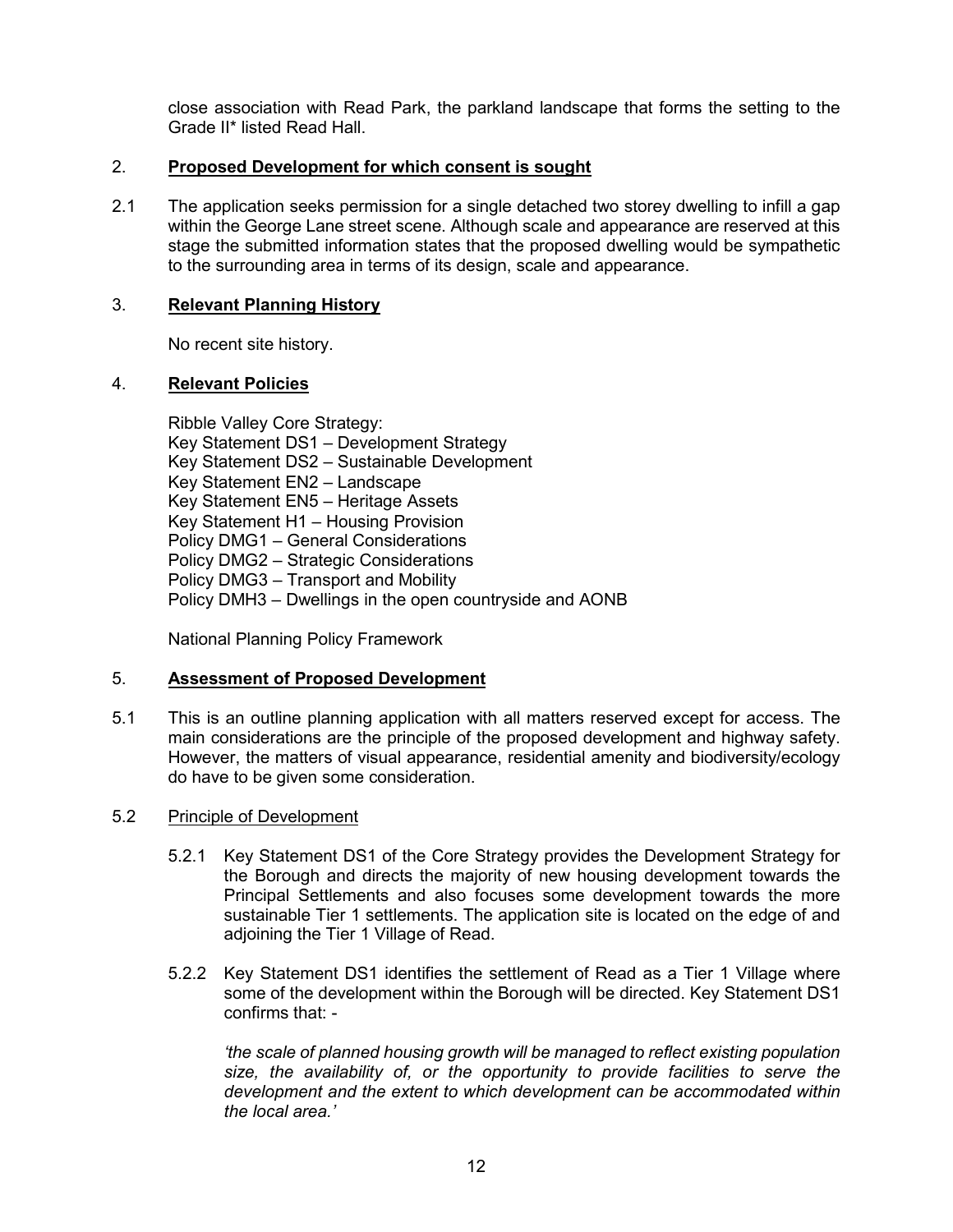close association with Read Park, the parkland landscape that forms the setting to the Grade II\* listed Read Hall.

# 2. **Proposed Development for which consent is sought**

2.1 The application seeks permission for a single detached two storey dwelling to infill a gap within the George Lane street scene. Although scale and appearance are reserved at this stage the submitted information states that the proposed dwelling would be sympathetic to the surrounding area in terms of its design, scale and appearance.

## 3. **Relevant Planning History**

No recent site history.

#### 4. **Relevant Policies**

Ribble Valley Core Strategy: Key Statement DS1 – Development Strategy Key Statement DS2 – Sustainable Development Key Statement EN2 – Landscape Key Statement EN5 – Heritage Assets Key Statement H1 – Housing Provision Policy DMG1 – General Considerations Policy DMG2 – Strategic Considerations Policy DMG3 – Transport and Mobility Policy DMH3 – Dwellings in the open countryside and AONB

National Planning Policy Framework

## 5. **Assessment of Proposed Development**

5.1 This is an outline planning application with all matters reserved except for access. The main considerations are the principle of the proposed development and highway safety. However, the matters of visual appearance, residential amenity and biodiversity/ecology do have to be given some consideration.

#### 5.2 Principle of Development

- 5.2.1 Key Statement DS1 of the Core Strategy provides the Development Strategy for the Borough and directs the majority of new housing development towards the Principal Settlements and also focuses some development towards the more sustainable Tier 1 settlements. The application site is located on the edge of and adjoining the Tier 1 Village of Read.
- 5.2.2 Key Statement DS1 identifies the settlement of Read as a Tier 1 Village where some of the development within the Borough will be directed. Key Statement DS1 confirms that: -

*'the scale of planned housing growth will be managed to reflect existing population size, the availability of, or the opportunity to provide facilities to serve the development and the extent to which development can be accommodated within the local area.'*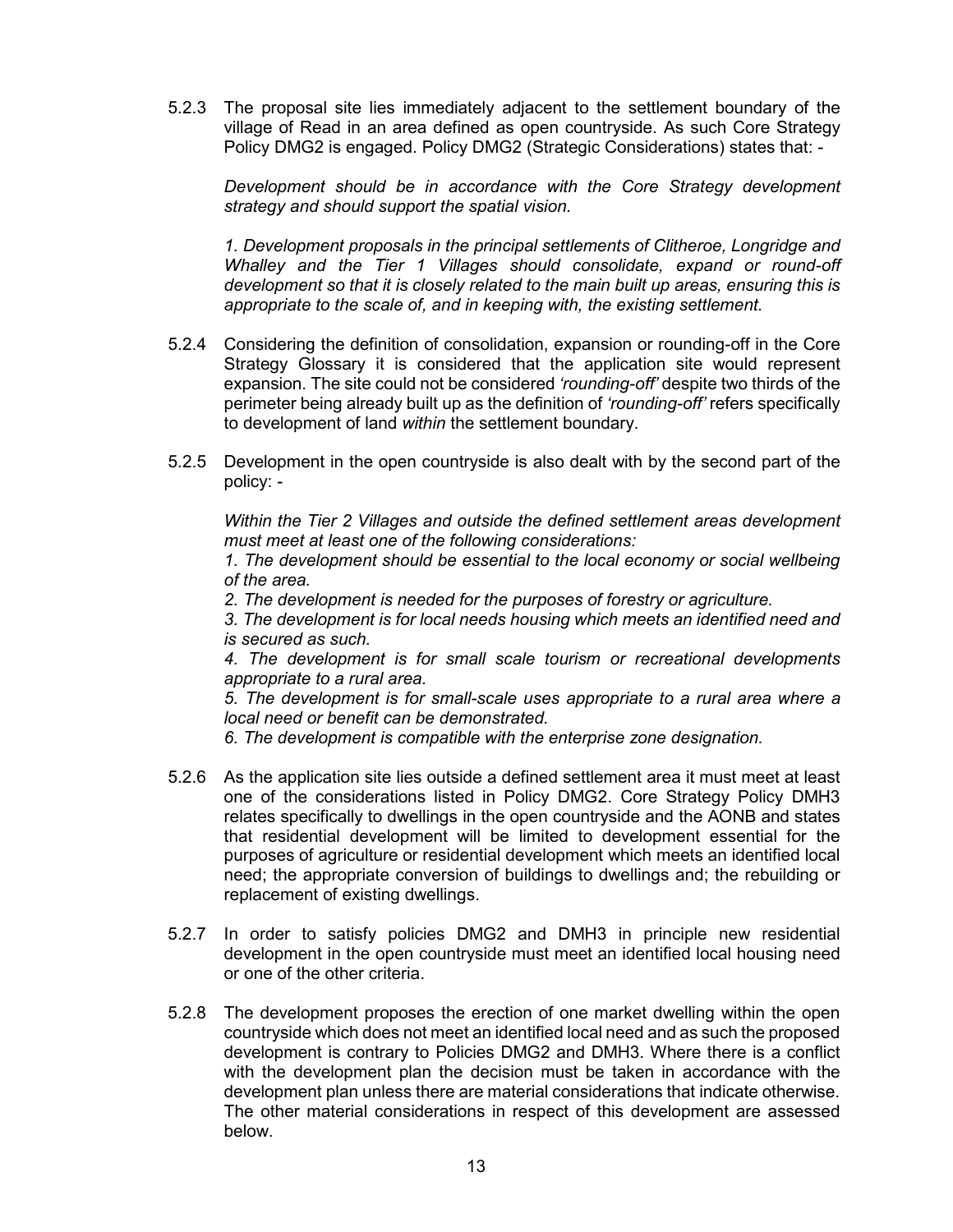5.2.3 The proposal site lies immediately adjacent to the settlement boundary of the village of Read in an area defined as open countryside. As such Core Strategy Policy DMG2 is engaged. Policy DMG2 (Strategic Considerations) states that: -

*Development should be in accordance with the Core Strategy development strategy and should support the spatial vision.*

*1. Development proposals in the principal settlements of Clitheroe, Longridge and Whalley and the Tier 1 Villages should consolidate, expand or round-off development so that it is closely related to the main built up areas, ensuring this is appropriate to the scale of, and in keeping with, the existing settlement.*

- 5.2.4 Considering the definition of consolidation, expansion or rounding-off in the Core Strategy Glossary it is considered that the application site would represent expansion. The site could not be considered *'rounding-off'* despite two thirds of the perimeter being already built up as the definition of *'rounding-off'* refers specifically to development of land *within* the settlement boundary.
- 5.2.5 Development in the open countryside is also dealt with by the second part of the policy: -

*Within the Tier 2 Villages and outside the defined settlement areas development must meet at least one of the following considerations:*

*1. The development should be essential to the local economy or social wellbeing of the area.*

*2. The development is needed for the purposes of forestry or agriculture.*

*3. The development is for local needs housing which meets an identified need and is secured as such.*

*4. The development is for small scale tourism or recreational developments appropriate to a rural area.*

*5. The development is for small-scale uses appropriate to a rural area where a local need or benefit can be demonstrated.*

*6. The development is compatible with the enterprise zone designation.*

- 5.2.6 As the application site lies outside a defined settlement area it must meet at least one of the considerations listed in Policy DMG2. Core Strategy Policy DMH3 relates specifically to dwellings in the open countryside and the AONB and states that residential development will be limited to development essential for the purposes of agriculture or residential development which meets an identified local need; the appropriate conversion of buildings to dwellings and; the rebuilding or replacement of existing dwellings.
- 5.2.7 In order to satisfy policies DMG2 and DMH3 in principle new residential development in the open countryside must meet an identified local housing need or one of the other criteria.
- 5.2.8 The development proposes the erection of one market dwelling within the open countryside which does not meet an identified local need and as such the proposed development is contrary to Policies DMG2 and DMH3. Where there is a conflict with the development plan the decision must be taken in accordance with the development plan unless there are material considerations that indicate otherwise. The other material considerations in respect of this development are assessed below.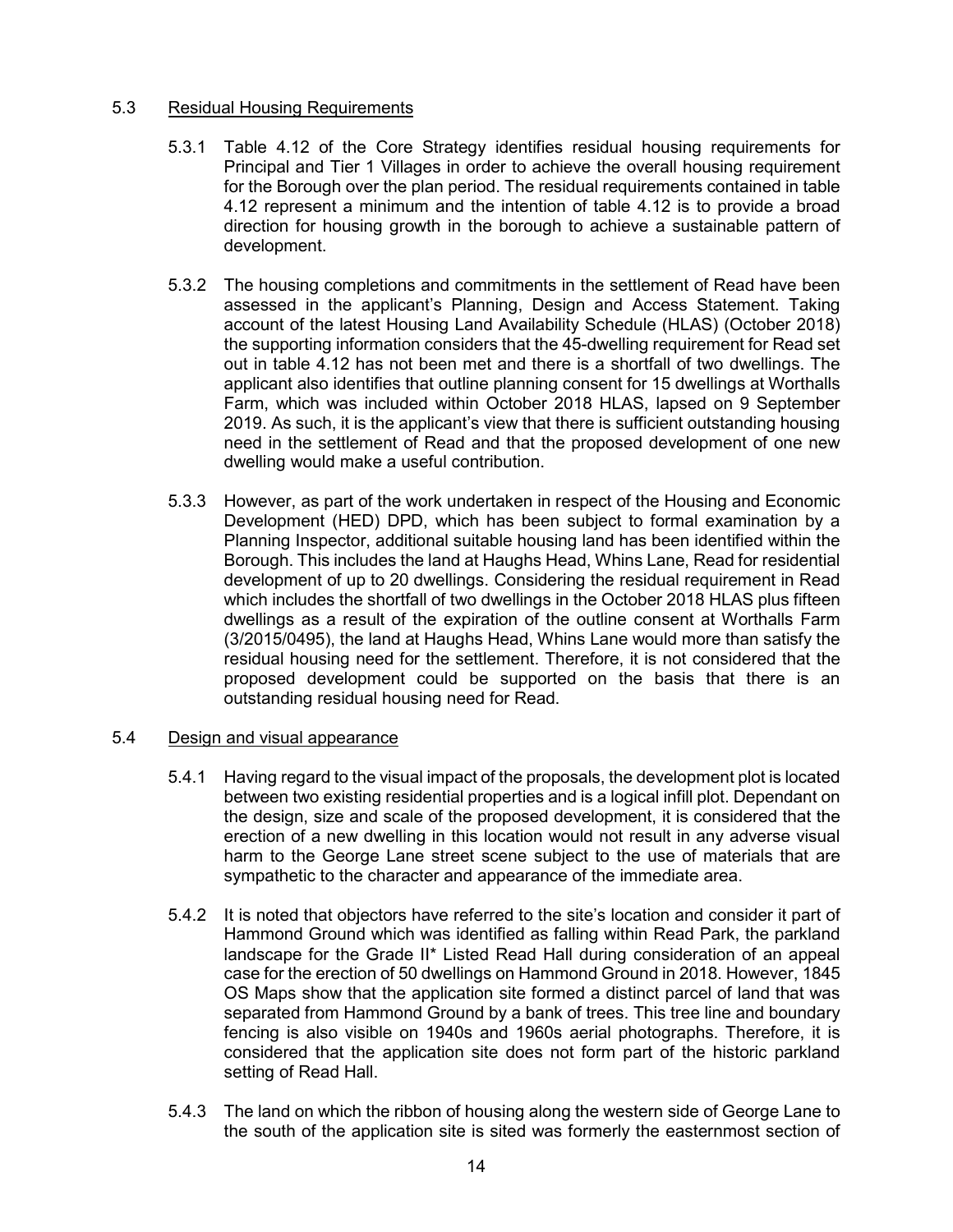## 5.3 Residual Housing Requirements

- 5.3.1 Table 4.12 of the Core Strategy identifies residual housing requirements for Principal and Tier 1 Villages in order to achieve the overall housing requirement for the Borough over the plan period. The residual requirements contained in table 4.12 represent a minimum and the intention of table 4.12 is to provide a broad direction for housing growth in the borough to achieve a sustainable pattern of development.
- 5.3.2 The housing completions and commitments in the settlement of Read have been assessed in the applicant's Planning, Design and Access Statement. Taking account of the latest Housing Land Availability Schedule (HLAS) (October 2018) the supporting information considers that the 45-dwelling requirement for Read set out in table 4.12 has not been met and there is a shortfall of two dwellings. The applicant also identifies that outline planning consent for 15 dwellings at Worthalls Farm, which was included within October 2018 HLAS, lapsed on 9 September 2019. As such, it is the applicant's view that there is sufficient outstanding housing need in the settlement of Read and that the proposed development of one new dwelling would make a useful contribution.
- 5.3.3 However, as part of the work undertaken in respect of the Housing and Economic Development (HED) DPD, which has been subject to formal examination by a Planning Inspector, additional suitable housing land has been identified within the Borough. This includes the land at Haughs Head, Whins Lane, Read for residential development of up to 20 dwellings. Considering the residual requirement in Read which includes the shortfall of two dwellings in the October 2018 HLAS plus fifteen dwellings as a result of the expiration of the outline consent at Worthalls Farm (3/2015/0495), the land at Haughs Head, Whins Lane would more than satisfy the residual housing need for the settlement. Therefore, it is not considered that the proposed development could be supported on the basis that there is an outstanding residual housing need for Read.

## 5.4 Design and visual appearance

- 5.4.1 Having regard to the visual impact of the proposals, the development plot is located between two existing residential properties and is a logical infill plot. Dependant on the design, size and scale of the proposed development, it is considered that the erection of a new dwelling in this location would not result in any adverse visual harm to the George Lane street scene subject to the use of materials that are sympathetic to the character and appearance of the immediate area.
- 5.4.2 It is noted that objectors have referred to the site's location and consider it part of Hammond Ground which was identified as falling within Read Park, the parkland landscape for the Grade II\* Listed Read Hall during consideration of an appeal case for the erection of 50 dwellings on Hammond Ground in 2018. However, 1845 OS Maps show that the application site formed a distinct parcel of land that was separated from Hammond Ground by a bank of trees. This tree line and boundary fencing is also visible on 1940s and 1960s aerial photographs. Therefore, it is considered that the application site does not form part of the historic parkland setting of Read Hall.
- 5.4.3 The land on which the ribbon of housing along the western side of George Lane to the south of the application site is sited was formerly the easternmost section of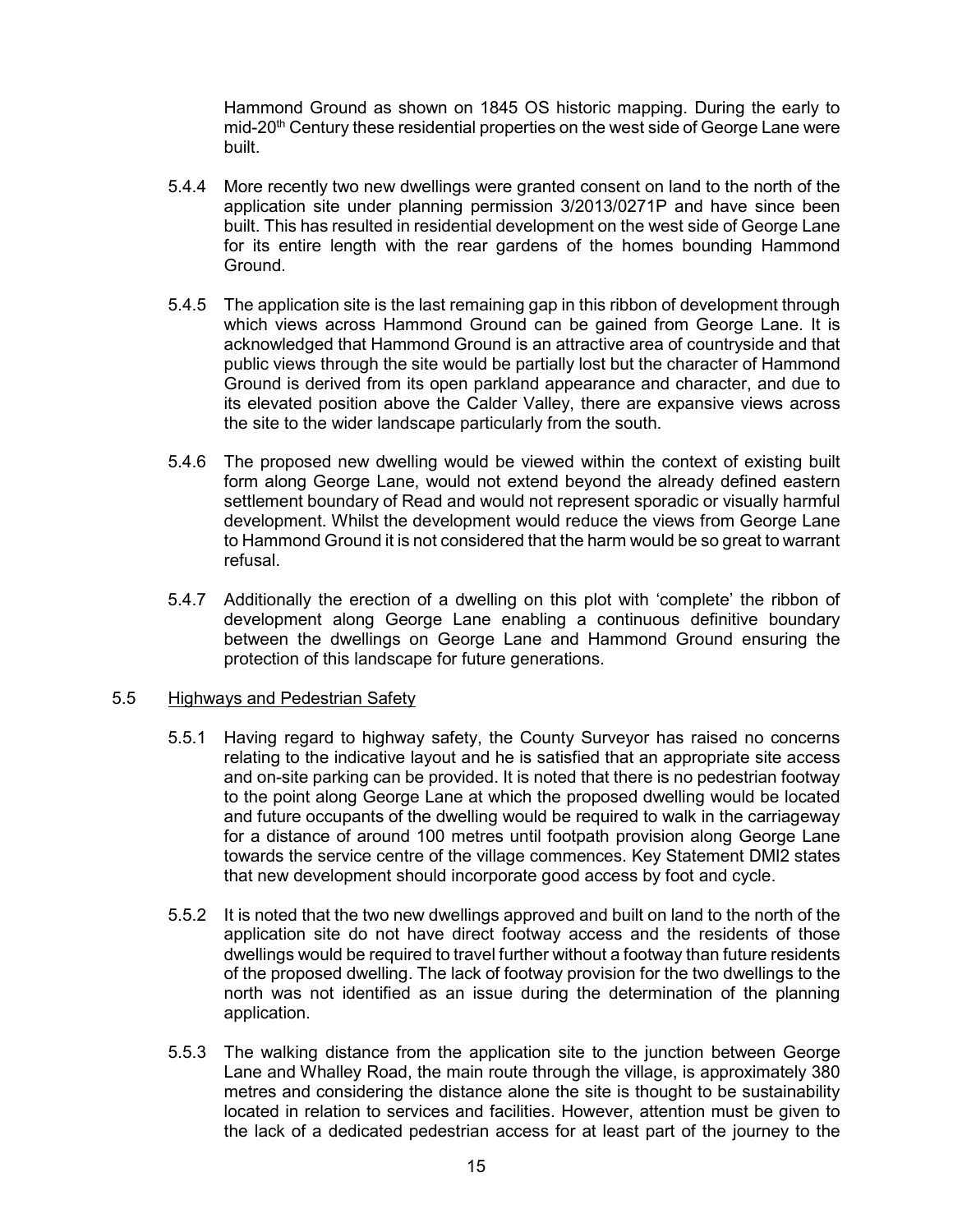Hammond Ground as shown on 1845 OS historic mapping. During the early to mid-20<sup>th</sup> Century these residential properties on the west side of George Lane were built.

- 5.4.4 More recently two new dwellings were granted consent on land to the north of the application site under planning permission 3/2013/0271P and have since been built. This has resulted in residential development on the west side of George Lane for its entire length with the rear gardens of the homes bounding Hammond Ground.
- 5.4.5 The application site is the last remaining gap in this ribbon of development through which views across Hammond Ground can be gained from George Lane. It is acknowledged that Hammond Ground is an attractive area of countryside and that public views through the site would be partially lost but the character of Hammond Ground is derived from its open parkland appearance and character, and due to its elevated position above the Calder Valley, there are expansive views across the site to the wider landscape particularly from the south.
- 5.4.6 The proposed new dwelling would be viewed within the context of existing built form along George Lane, would not extend beyond the already defined eastern settlement boundary of Read and would not represent sporadic or visually harmful development. Whilst the development would reduce the views from George Lane to Hammond Ground it is not considered that the harm would be so great to warrant refusal.
- 5.4.7 Additionally the erection of a dwelling on this plot with 'complete' the ribbon of development along George Lane enabling a continuous definitive boundary between the dwellings on George Lane and Hammond Ground ensuring the protection of this landscape for future generations.

#### 5.5 Highways and Pedestrian Safety

- 5.5.1 Having regard to highway safety, the County Surveyor has raised no concerns relating to the indicative layout and he is satisfied that an appropriate site access and on-site parking can be provided. It is noted that there is no pedestrian footway to the point along George Lane at which the proposed dwelling would be located and future occupants of the dwelling would be required to walk in the carriageway for a distance of around 100 metres until footpath provision along George Lane towards the service centre of the village commences. Key Statement DMI2 states that new development should incorporate good access by foot and cycle.
- 5.5.2 It is noted that the two new dwellings approved and built on land to the north of the application site do not have direct footway access and the residents of those dwellings would be required to travel further without a footway than future residents of the proposed dwelling. The lack of footway provision for the two dwellings to the north was not identified as an issue during the determination of the planning application.
- 5.5.3 The walking distance from the application site to the junction between George Lane and Whalley Road, the main route through the village, is approximately 380 metres and considering the distance alone the site is thought to be sustainability located in relation to services and facilities. However, attention must be given to the lack of a dedicated pedestrian access for at least part of the journey to the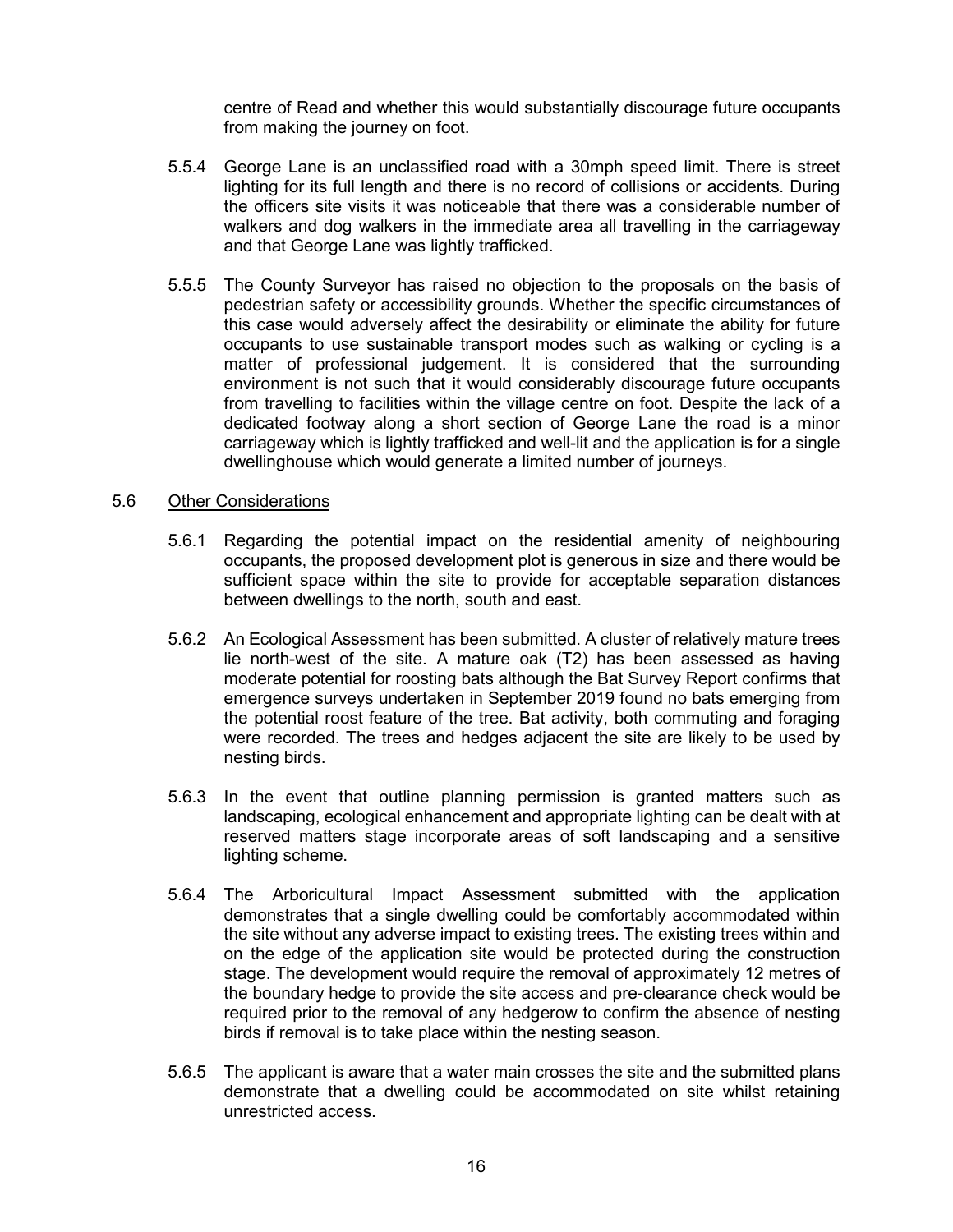centre of Read and whether this would substantially discourage future occupants from making the journey on foot.

- 5.5.4 George Lane is an unclassified road with a 30mph speed limit. There is street lighting for its full length and there is no record of collisions or accidents. During the officers site visits it was noticeable that there was a considerable number of walkers and dog walkers in the immediate area all travelling in the carriageway and that George Lane was lightly trafficked.
- 5.5.5 The County Surveyor has raised no objection to the proposals on the basis of pedestrian safety or accessibility grounds. Whether the specific circumstances of this case would adversely affect the desirability or eliminate the ability for future occupants to use sustainable transport modes such as walking or cycling is a matter of professional judgement. It is considered that the surrounding environment is not such that it would considerably discourage future occupants from travelling to facilities within the village centre on foot. Despite the lack of a dedicated footway along a short section of George Lane the road is a minor carriageway which is lightly trafficked and well-lit and the application is for a single dwellinghouse which would generate a limited number of journeys.

#### 5.6 Other Considerations

- 5.6.1 Regarding the potential impact on the residential amenity of neighbouring occupants, the proposed development plot is generous in size and there would be sufficient space within the site to provide for acceptable separation distances between dwellings to the north, south and east.
- 5.6.2 An Ecological Assessment has been submitted. A cluster of relatively mature trees lie north-west of the site. A mature oak (T2) has been assessed as having moderate potential for roosting bats although the Bat Survey Report confirms that emergence surveys undertaken in September 2019 found no bats emerging from the potential roost feature of the tree. Bat activity, both commuting and foraging were recorded. The trees and hedges adjacent the site are likely to be used by nesting birds.
- 5.6.3 In the event that outline planning permission is granted matters such as landscaping, ecological enhancement and appropriate lighting can be dealt with at reserved matters stage incorporate areas of soft landscaping and a sensitive lighting scheme.
- 5.6.4 The Arboricultural Impact Assessment submitted with the application demonstrates that a single dwelling could be comfortably accommodated within the site without any adverse impact to existing trees. The existing trees within and on the edge of the application site would be protected during the construction stage. The development would require the removal of approximately 12 metres of the boundary hedge to provide the site access and pre-clearance check would be required prior to the removal of any hedgerow to confirm the absence of nesting birds if removal is to take place within the nesting season.
- 5.6.5 The applicant is aware that a water main crosses the site and the submitted plans demonstrate that a dwelling could be accommodated on site whilst retaining unrestricted access.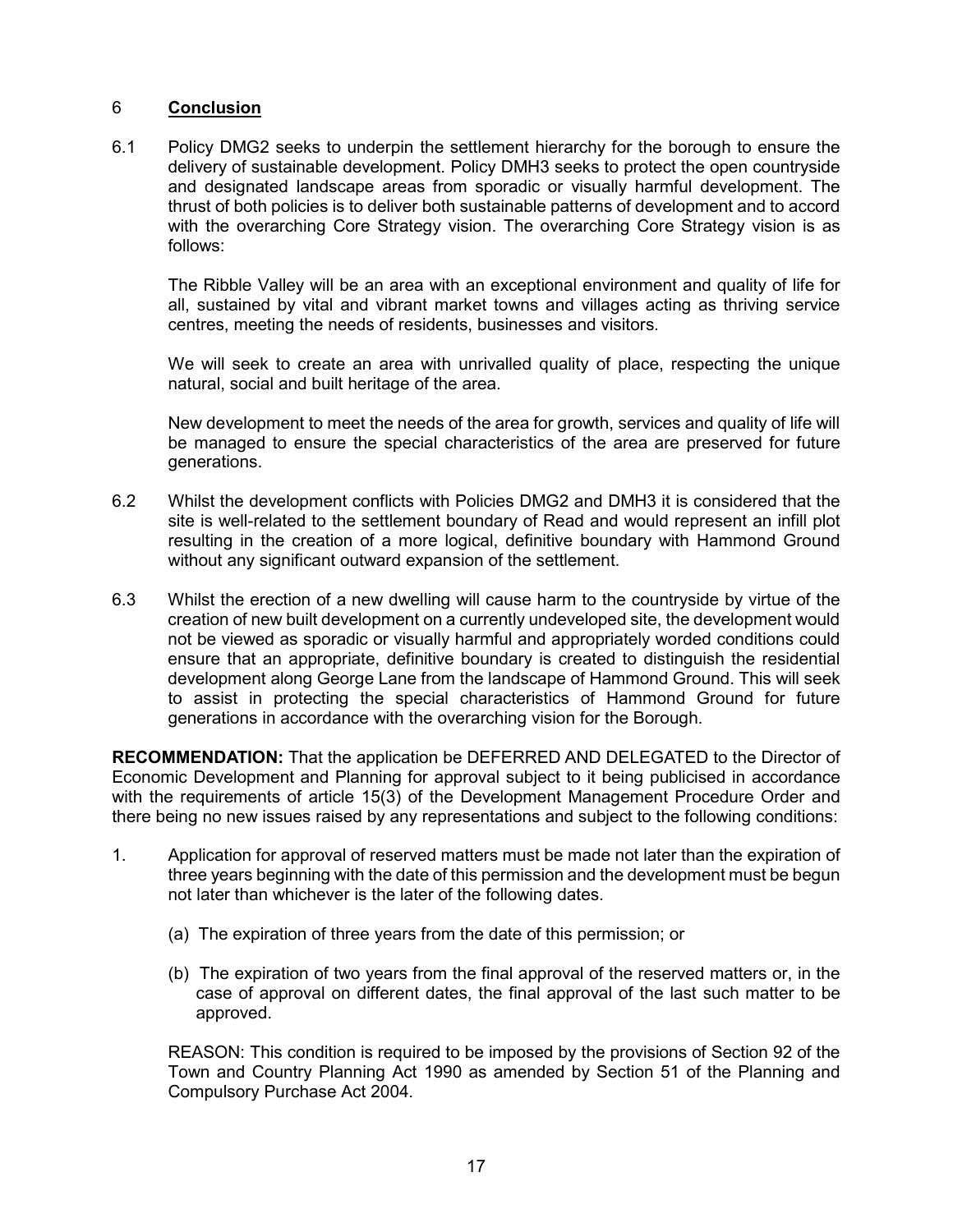# 6 **Conclusion**

6.1 Policy DMG2 seeks to underpin the settlement hierarchy for the borough to ensure the delivery of sustainable development. Policy DMH3 seeks to protect the open countryside and designated landscape areas from sporadic or visually harmful development. The thrust of both policies is to deliver both sustainable patterns of development and to accord with the overarching Core Strategy vision. The overarching Core Strategy vision is as follows:

The Ribble Valley will be an area with an exceptional environment and quality of life for all, sustained by vital and vibrant market towns and villages acting as thriving service centres, meeting the needs of residents, businesses and visitors.

We will seek to create an area with unrivalled quality of place, respecting the unique natural, social and built heritage of the area.

New development to meet the needs of the area for growth, services and quality of life will be managed to ensure the special characteristics of the area are preserved for future generations.

- 6.2 Whilst the development conflicts with Policies DMG2 and DMH3 it is considered that the site is well-related to the settlement boundary of Read and would represent an infill plot resulting in the creation of a more logical, definitive boundary with Hammond Ground without any significant outward expansion of the settlement.
- 6.3 Whilst the erection of a new dwelling will cause harm to the countryside by virtue of the creation of new built development on a currently undeveloped site, the development would not be viewed as sporadic or visually harmful and appropriately worded conditions could ensure that an appropriate, definitive boundary is created to distinguish the residential development along George Lane from the landscape of Hammond Ground. This will seek to assist in protecting the special characteristics of Hammond Ground for future generations in accordance with the overarching vision for the Borough.

**RECOMMENDATION:** That the application be DEFERRED AND DELEGATED to the Director of Economic Development and Planning for approval subject to it being publicised in accordance with the requirements of article 15(3) of the Development Management Procedure Order and there being no new issues raised by any representations and subject to the following conditions:

- 1. Application for approval of reserved matters must be made not later than the expiration of three years beginning with the date of this permission and the development must be begun not later than whichever is the later of the following dates.
	- (a) The expiration of three years from the date of this permission; or
	- (b) The expiration of two years from the final approval of the reserved matters or, in the case of approval on different dates, the final approval of the last such matter to be approved.

REASON: This condition is required to be imposed by the provisions of Section 92 of the Town and Country Planning Act 1990 as amended by Section 51 of the Planning and Compulsory Purchase Act 2004.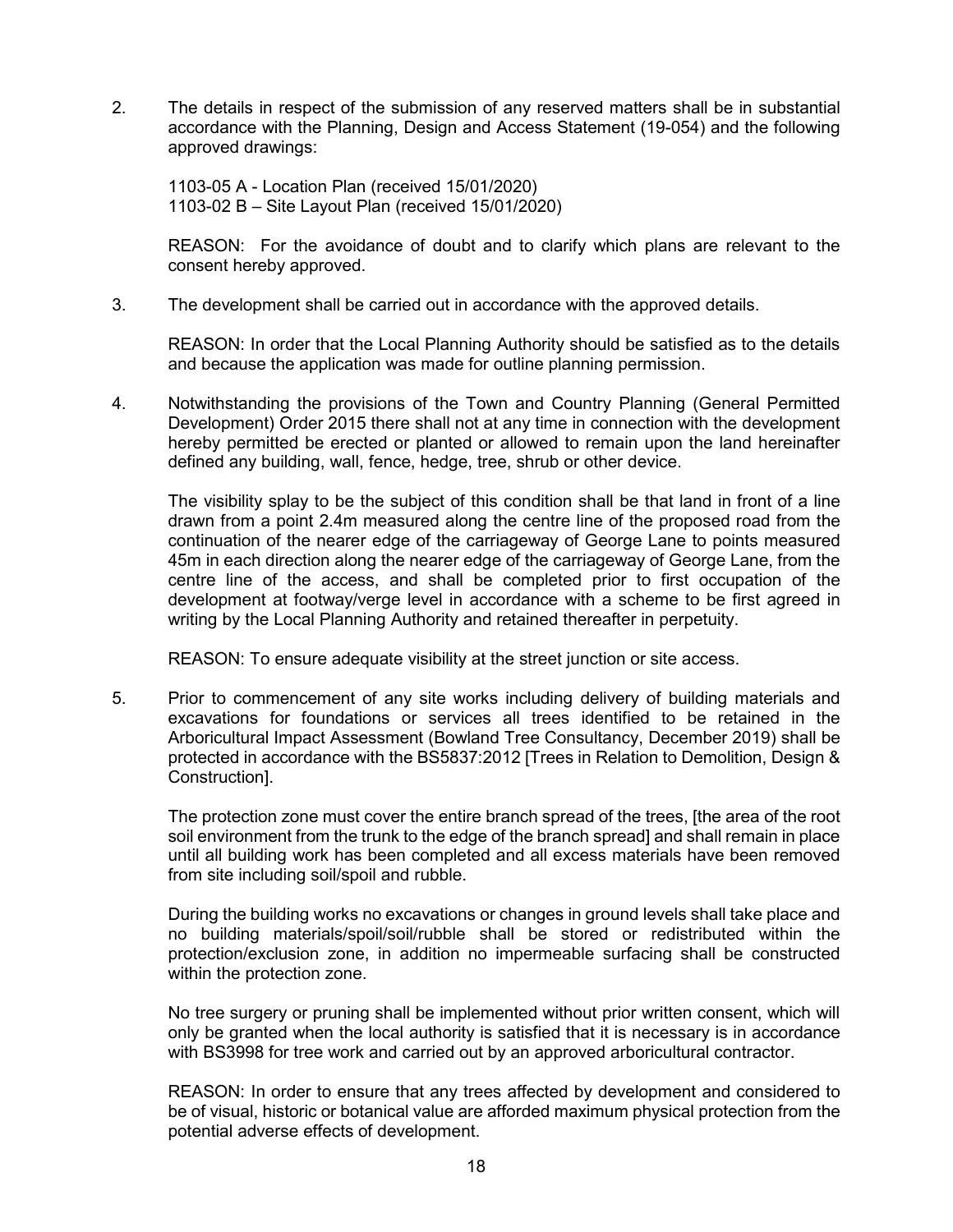2. The details in respect of the submission of any reserved matters shall be in substantial accordance with the Planning, Design and Access Statement (19-054) and the following approved drawings:

1103-05 A - Location Plan (received 15/01/2020) 1103-02 B – Site Layout Plan (received 15/01/2020)

REASON: For the avoidance of doubt and to clarify which plans are relevant to the consent hereby approved.

3. The development shall be carried out in accordance with the approved details.

REASON: In order that the Local Planning Authority should be satisfied as to the details and because the application was made for outline planning permission.

4. Notwithstanding the provisions of the Town and Country Planning (General Permitted Development) Order 2015 there shall not at any time in connection with the development hereby permitted be erected or planted or allowed to remain upon the land hereinafter defined any building, wall, fence, hedge, tree, shrub or other device.

The visibility splay to be the subject of this condition shall be that land in front of a line drawn from a point 2.4m measured along the centre line of the proposed road from the continuation of the nearer edge of the carriageway of George Lane to points measured 45m in each direction along the nearer edge of the carriageway of George Lane, from the centre line of the access, and shall be completed prior to first occupation of the development at footway/verge level in accordance with a scheme to be first agreed in writing by the Local Planning Authority and retained thereafter in perpetuity.

REASON: To ensure adequate visibility at the street junction or site access.

5. Prior to commencement of any site works including delivery of building materials and excavations for foundations or services all trees identified to be retained in the Arboricultural Impact Assessment (Bowland Tree Consultancy, December 2019) shall be protected in accordance with the BS5837:2012 [Trees in Relation to Demolition, Design & Construction].

The protection zone must cover the entire branch spread of the trees, [the area of the root soil environment from the trunk to the edge of the branch spread] and shall remain in place until all building work has been completed and all excess materials have been removed from site including soil/spoil and rubble.

During the building works no excavations or changes in ground levels shall take place and no building materials/spoil/soil/rubble shall be stored or redistributed within the protection/exclusion zone, in addition no impermeable surfacing shall be constructed within the protection zone.

No tree surgery or pruning shall be implemented without prior written consent, which will only be granted when the local authority is satisfied that it is necessary is in accordance with BS3998 for tree work and carried out by an approved arboricultural contractor.

REASON: In order to ensure that any trees affected by development and considered to be of visual, historic or botanical value are afforded maximum physical protection from the potential adverse effects of development.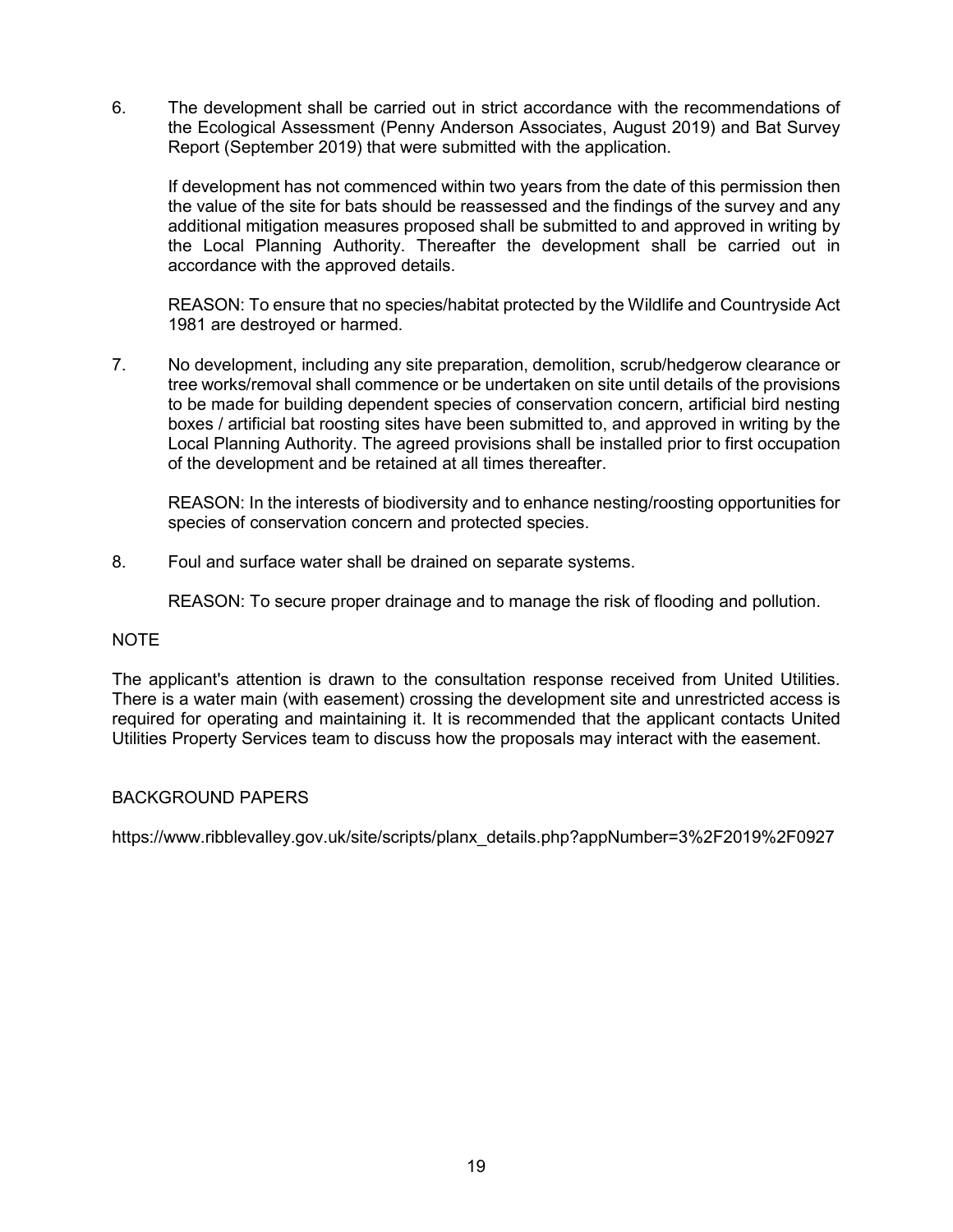6. The development shall be carried out in strict accordance with the recommendations of the Ecological Assessment (Penny Anderson Associates, August 2019) and Bat Survey Report (September 2019) that were submitted with the application.

If development has not commenced within two years from the date of this permission then the value of the site for bats should be reassessed and the findings of the survey and any additional mitigation measures proposed shall be submitted to and approved in writing by the Local Planning Authority. Thereafter the development shall be carried out in accordance with the approved details.

REASON: To ensure that no species/habitat protected by the Wildlife and Countryside Act 1981 are destroyed or harmed.

7. No development, including any site preparation, demolition, scrub/hedgerow clearance or tree works/removal shall commence or be undertaken on site until details of the provisions to be made for building dependent species of conservation concern, artificial bird nesting boxes / artificial bat roosting sites have been submitted to, and approved in writing by the Local Planning Authority. The agreed provisions shall be installed prior to first occupation of the development and be retained at all times thereafter.

REASON: In the interests of biodiversity and to enhance nesting/roosting opportunities for species of conservation concern and protected species.

8. Foul and surface water shall be drained on separate systems.

REASON: To secure proper drainage and to manage the risk of flooding and pollution.

#### NOTE

The applicant's attention is drawn to the consultation response received from United Utilities. There is a water main (with easement) crossing the development site and unrestricted access is required for operating and maintaining it. It is recommended that the applicant contacts United Utilities Property Services team to discuss how the proposals may interact with the easement.

## BACKGROUND PAPERS

[https://www.ribblevalley.gov.uk/site/scripts/planx\\_details.php?appNumber=3%2F2019%2F0927](https://www.ribblevalley.gov.uk/site/scripts/planx_details.php?appNumber=3%2F2019%2F0927)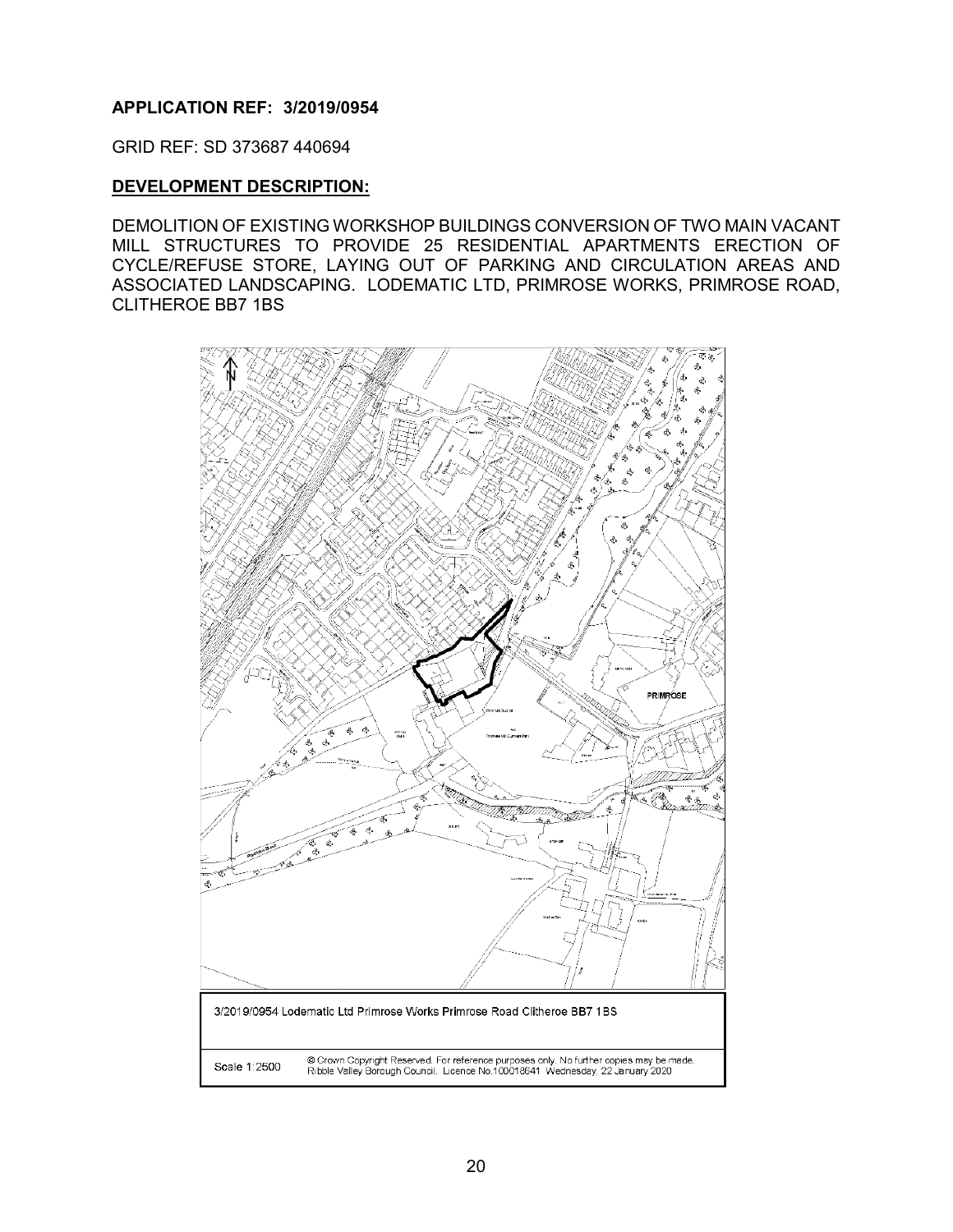#### <span id="page-20-0"></span>**APPLICATION REF: 3/2019/0954**

GRID REF: SD 373687 440694

#### **DEVELOPMENT DESCRIPTION:**

DEMOLITION OF EXISTING WORKSHOP BUILDINGS CONVERSION OF TWO MAIN VACANT MILL STRUCTURES TO PROVIDE 25 RESIDENTIAL APARTMENTS ERECTION OF CYCLE/REFUSE STORE, LAYING OUT OF PARKING AND CIRCULATION AREAS AND ASSOCIATED LANDSCAPING. LODEMATIC LTD, PRIMROSE WORKS, PRIMROSE ROAD, CLITHEROE BB7 1BS

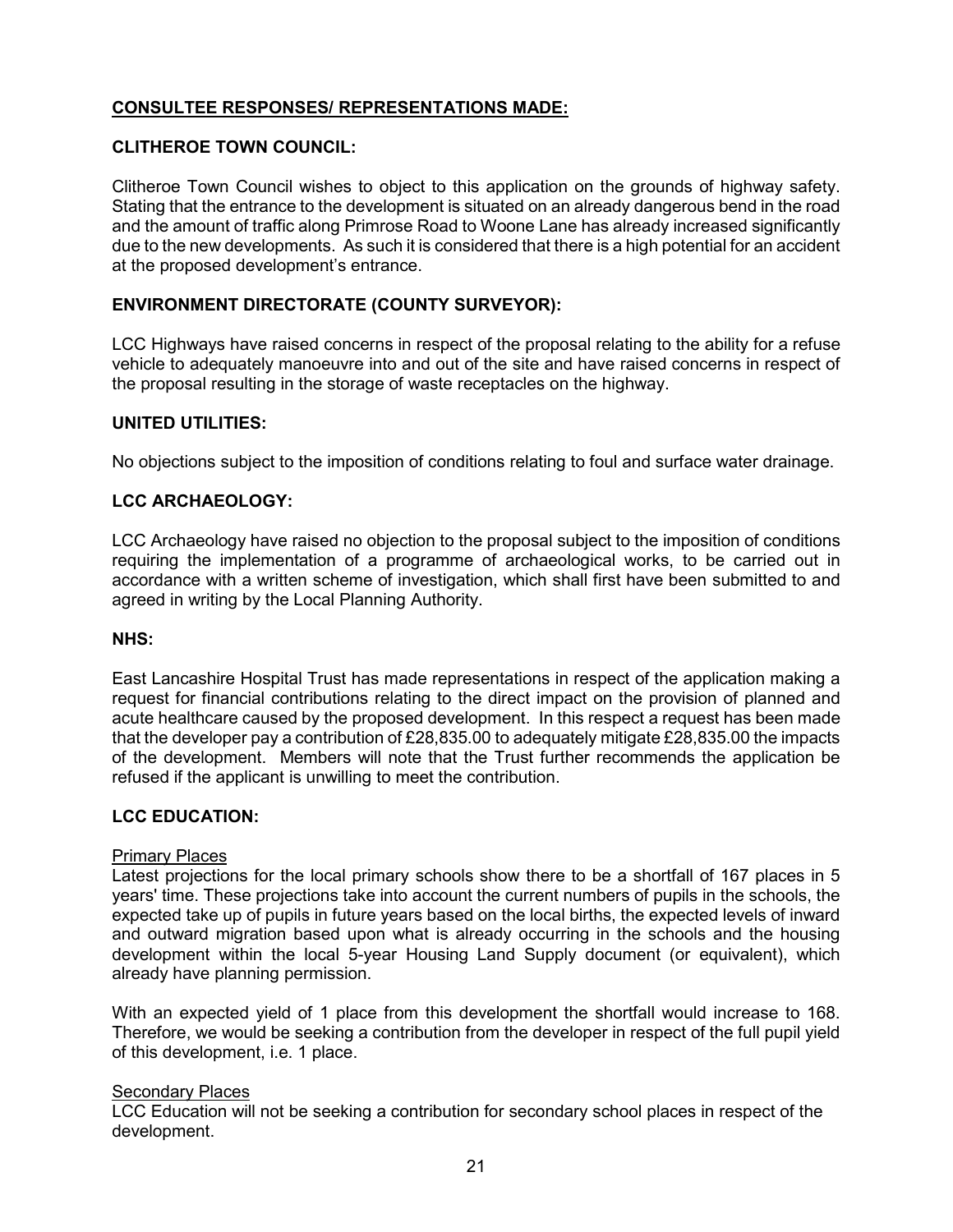# **CONSULTEE RESPONSES/ REPRESENTATIONS MADE:**

#### **CLITHEROE TOWN COUNCIL:**

Clitheroe Town Council wishes to object to this application on the grounds of highway safety. Stating that the entrance to the development is situated on an already dangerous bend in the road and the amount of traffic along Primrose Road to Woone Lane has already increased significantly due to the new developments. As such it is considered that there is a high potential for an accident at the proposed development's entrance.

#### **ENVIRONMENT DIRECTORATE (COUNTY SURVEYOR):**

LCC Highways have raised concerns in respect of the proposal relating to the ability for a refuse vehicle to adequately manoeuvre into and out of the site and have raised concerns in respect of the proposal resulting in the storage of waste receptacles on the highway.

#### **UNITED UTILITIES:**

No objections subject to the imposition of conditions relating to foul and surface water drainage.

#### **LCC ARCHAEOLOGY:**

LCC Archaeology have raised no objection to the proposal subject to the imposition of conditions requiring the implementation of a programme of archaeological works, to be carried out in accordance with a written scheme of investigation, which shall first have been submitted to and agreed in writing by the Local Planning Authority.

#### **NHS:**

East Lancashire Hospital Trust has made representations in respect of the application making a request for financial contributions relating to the direct impact on the provision of planned and acute healthcare caused by the proposed development. In this respect a request has been made that the developer pay a contribution of £28,835.00 to adequately mitigate £28,835.00 the impacts of the development. Members will note that the Trust further recommends the application be refused if the applicant is unwilling to meet the contribution.

# **LCC EDUCATION:**

#### Primary Places

Latest projections for the local primary schools show there to be a shortfall of 167 places in 5 years' time. These projections take into account the current numbers of pupils in the schools, the expected take up of pupils in future years based on the local births, the expected levels of inward and outward migration based upon what is already occurring in the schools and the housing development within the local 5-year Housing Land Supply document (or equivalent), which already have planning permission.

With an expected yield of 1 place from this development the shortfall would increase to 168. Therefore, we would be seeking a contribution from the developer in respect of the full pupil yield of this development, i.e. 1 place.

#### **Secondary Places**

LCC Education will not be seeking a contribution for secondary school places in respect of the development.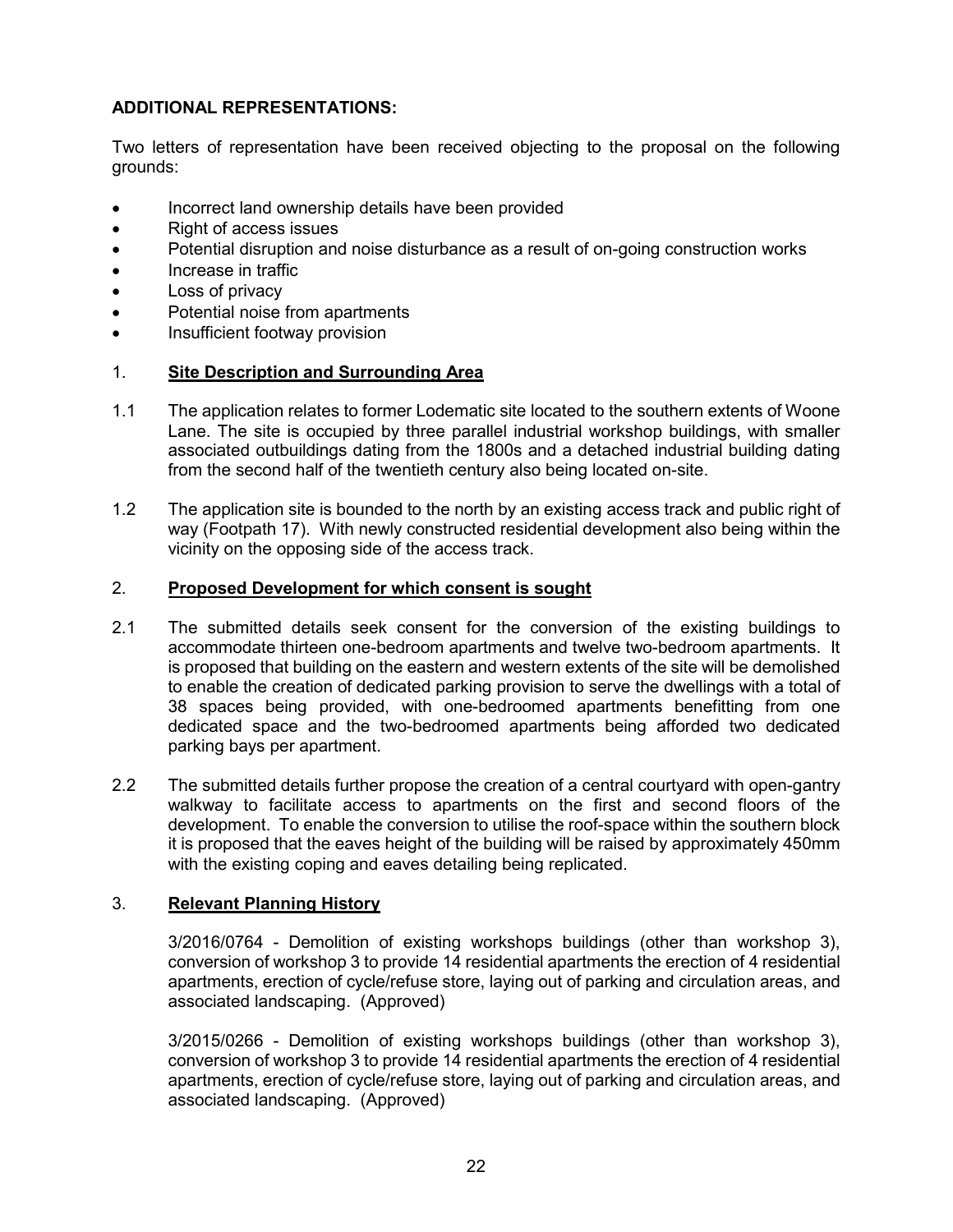# **ADDITIONAL REPRESENTATIONS:**

Two letters of representation have been received objecting to the proposal on the following grounds:

- Incorrect land ownership details have been provided
- Right of access issues
- Potential disruption and noise disturbance as a result of on-going construction works
- Increase in traffic
- Loss of privacy
- Potential noise from apartments
- Insufficient footway provision

## 1. **Site Description and Surrounding Area**

- 1.1 The application relates to former Lodematic site located to the southern extents of Woone Lane. The site is occupied by three parallel industrial workshop buildings, with smaller associated outbuildings dating from the 1800s and a detached industrial building dating from the second half of the twentieth century also being located on-site.
- 1.2 The application site is bounded to the north by an existing access track and public right of way (Footpath 17). With newly constructed residential development also being within the vicinity on the opposing side of the access track.

## 2. **Proposed Development for which consent is sought**

- 2.1 The submitted details seek consent for the conversion of the existing buildings to accommodate thirteen one-bedroom apartments and twelve two-bedroom apartments. It is proposed that building on the eastern and western extents of the site will be demolished to enable the creation of dedicated parking provision to serve the dwellings with a total of 38 spaces being provided, with one-bedroomed apartments benefitting from one dedicated space and the two-bedroomed apartments being afforded two dedicated parking bays per apartment.
- 2.2 The submitted details further propose the creation of a central courtyard with open-gantry walkway to facilitate access to apartments on the first and second floors of the development. To enable the conversion to utilise the roof-space within the southern block it is proposed that the eaves height of the building will be raised by approximately 450mm with the existing coping and eaves detailing being replicated.

## 3. **Relevant Planning History**

3/2016/0764 - Demolition of existing workshops buildings (other than workshop 3), conversion of workshop 3 to provide 14 residential apartments the erection of 4 residential apartments, erection of cycle/refuse store, laying out of parking and circulation areas, and associated landscaping. (Approved)

3/2015/0266 - Demolition of existing workshops buildings (other than workshop 3), conversion of workshop 3 to provide 14 residential apartments the erection of 4 residential apartments, erection of cycle/refuse store, laying out of parking and circulation areas, and associated landscaping. (Approved)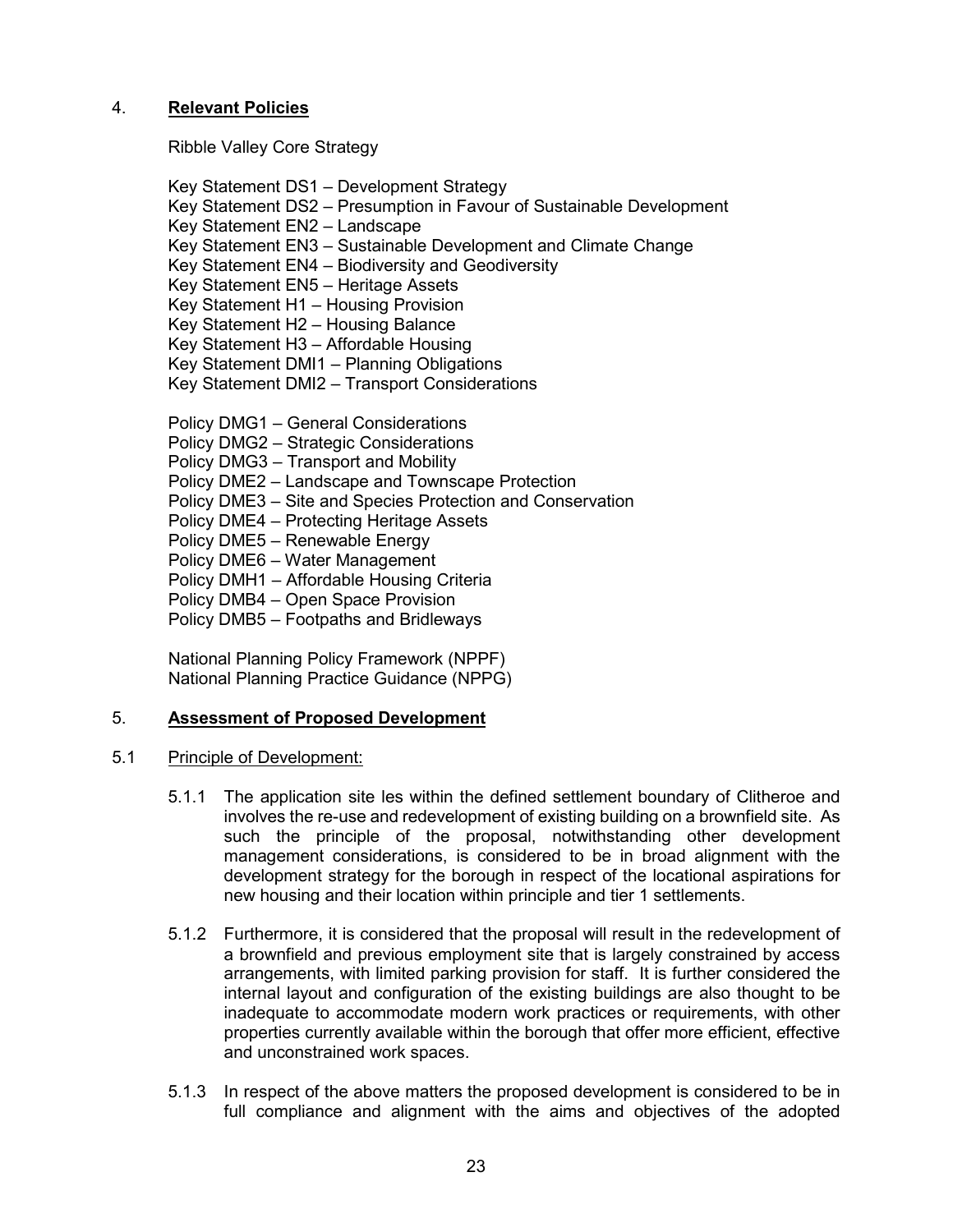## 4. **Relevant Policies**

Ribble Valley Core Strategy

Key Statement DS1 – Development Strategy Key Statement DS2 – Presumption in Favour of Sustainable Development Key Statement EN2 – Landscape Key Statement EN3 – Sustainable Development and Climate Change Key Statement EN4 – Biodiversity and Geodiversity Key Statement EN5 – Heritage Assets Key Statement H1 – Housing Provision Key Statement H2 – Housing Balance Key Statement H3 – Affordable Housing Key Statement DMI1 – Planning Obligations Key Statement DMI2 – Transport Considerations Policy DMG1 – General Considerations Policy DMG2 – Strategic Considerations Policy DMG3 – Transport and Mobility Policy DME2 – Landscape and Townscape Protection Policy DME3 – Site and Species Protection and Conservation Policy DME4 – Protecting Heritage Assets

Policy DME5 – Renewable Energy

Policy DME6 – Water Management

Policy DMH1 – Affordable Housing Criteria

Policy DMB4 – Open Space Provision

Policy DMB5 – Footpaths and Bridleways

National Planning Policy Framework (NPPF) National Planning Practice Guidance (NPPG)

#### 5. **Assessment of Proposed Development**

- 5.1 Principle of Development:
	- 5.1.1 The application site les within the defined settlement boundary of Clitheroe and involves the re-use and redevelopment of existing building on a brownfield site. As such the principle of the proposal, notwithstanding other development management considerations, is considered to be in broad alignment with the development strategy for the borough in respect of the locational aspirations for new housing and their location within principle and tier 1 settlements.
	- 5.1.2 Furthermore, it is considered that the proposal will result in the redevelopment of a brownfield and previous employment site that is largely constrained by access arrangements, with limited parking provision for staff. It is further considered the internal layout and configuration of the existing buildings are also thought to be inadequate to accommodate modern work practices or requirements, with other properties currently available within the borough that offer more efficient, effective and unconstrained work spaces.
	- 5.1.3 In respect of the above matters the proposed development is considered to be in full compliance and alignment with the aims and objectives of the adopted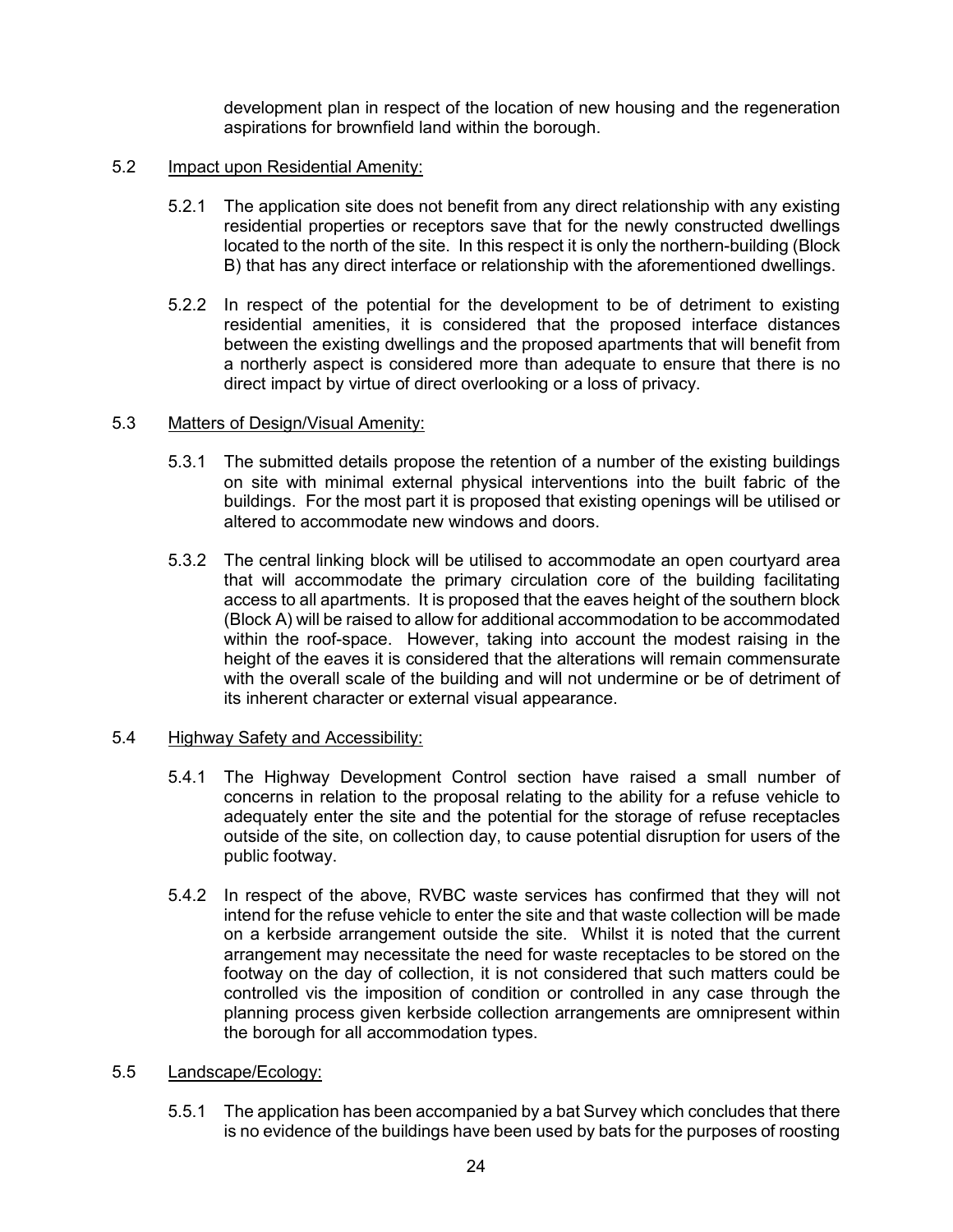development plan in respect of the location of new housing and the regeneration aspirations for brownfield land within the borough.

#### 5.2 Impact upon Residential Amenity:

- 5.2.1 The application site does not benefit from any direct relationship with any existing residential properties or receptors save that for the newly constructed dwellings located to the north of the site. In this respect it is only the northern-building (Block B) that has any direct interface or relationship with the aforementioned dwellings.
- 5.2.2 In respect of the potential for the development to be of detriment to existing residential amenities, it is considered that the proposed interface distances between the existing dwellings and the proposed apartments that will benefit from a northerly aspect is considered more than adequate to ensure that there is no direct impact by virtue of direct overlooking or a loss of privacy.

#### 5.3 Matters of Design/Visual Amenity:

- 5.3.1 The submitted details propose the retention of a number of the existing buildings on site with minimal external physical interventions into the built fabric of the buildings. For the most part it is proposed that existing openings will be utilised or altered to accommodate new windows and doors.
- 5.3.2 The central linking block will be utilised to accommodate an open courtyard area that will accommodate the primary circulation core of the building facilitating access to all apartments. It is proposed that the eaves height of the southern block (Block A) will be raised to allow for additional accommodation to be accommodated within the roof-space. However, taking into account the modest raising in the height of the eaves it is considered that the alterations will remain commensurate with the overall scale of the building and will not undermine or be of detriment of its inherent character or external visual appearance.

#### 5.4 Highway Safety and Accessibility:

- 5.4.1 The Highway Development Control section have raised a small number of concerns in relation to the proposal relating to the ability for a refuse vehicle to adequately enter the site and the potential for the storage of refuse receptacles outside of the site, on collection day, to cause potential disruption for users of the public footway.
- 5.4.2 In respect of the above, RVBC waste services has confirmed that they will not intend for the refuse vehicle to enter the site and that waste collection will be made on a kerbside arrangement outside the site. Whilst it is noted that the current arrangement may necessitate the need for waste receptacles to be stored on the footway on the day of collection, it is not considered that such matters could be controlled vis the imposition of condition or controlled in any case through the planning process given kerbside collection arrangements are omnipresent within the borough for all accommodation types.

## 5.5 Landscape/Ecology:

5.5.1 The application has been accompanied by a bat Survey which concludes that there is no evidence of the buildings have been used by bats for the purposes of roosting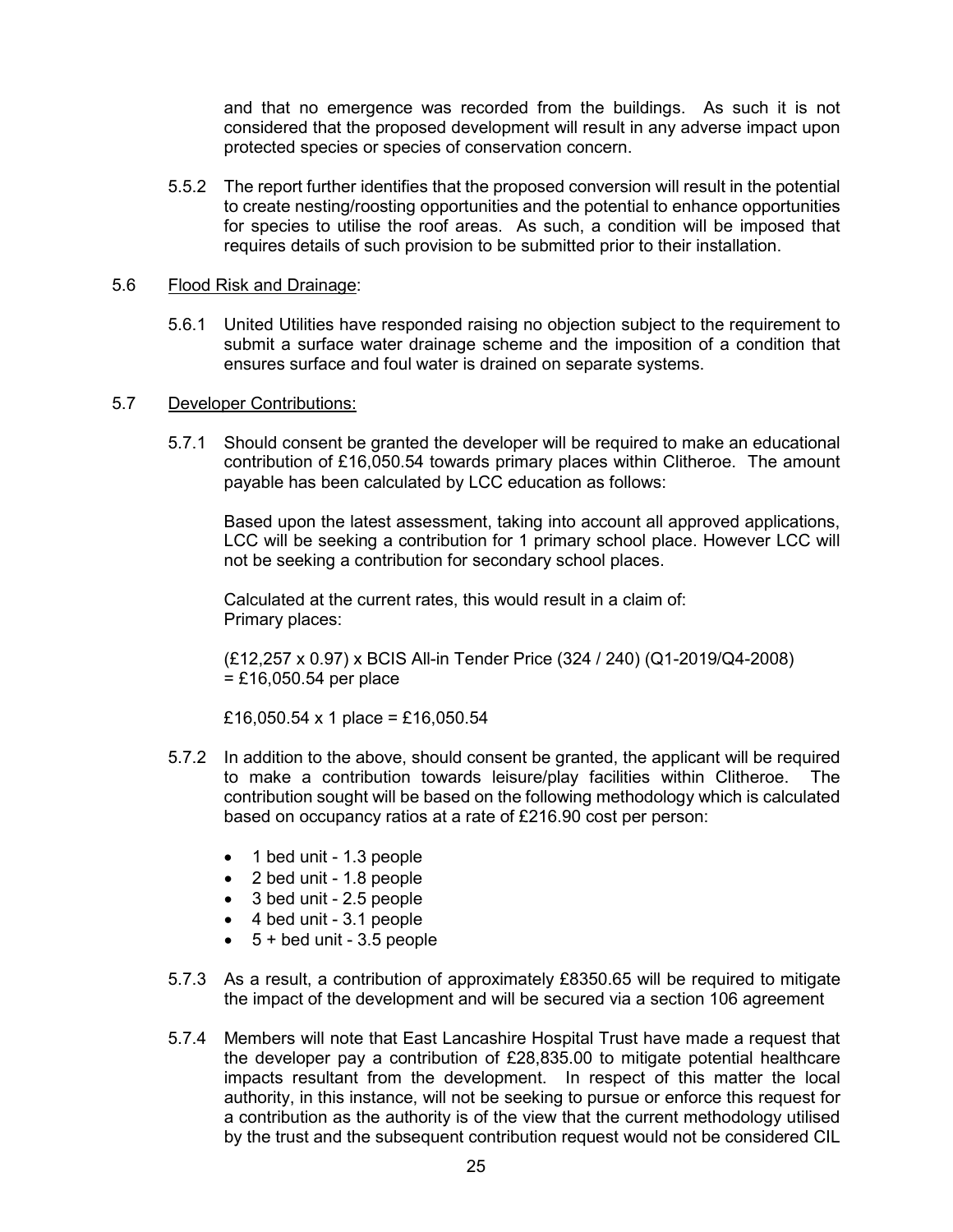and that no emergence was recorded from the buildings. As such it is not considered that the proposed development will result in any adverse impact upon protected species or species of conservation concern.

5.5.2 The report further identifies that the proposed conversion will result in the potential to create nesting/roosting opportunities and the potential to enhance opportunities for species to utilise the roof areas. As such, a condition will be imposed that requires details of such provision to be submitted prior to their installation.

#### 5.6 Flood Risk and Drainage:

5.6.1 United Utilities have responded raising no objection subject to the requirement to submit a surface water drainage scheme and the imposition of a condition that ensures surface and foul water is drained on separate systems.

#### 5.7 Developer Contributions:

5.7.1 Should consent be granted the developer will be required to make an educational contribution of £16,050.54 towards primary places within Clitheroe. The amount payable has been calculated by LCC education as follows:

Based upon the latest assessment, taking into account all approved applications, LCC will be seeking a contribution for 1 primary school place. However LCC will not be seeking a contribution for secondary school places.

Calculated at the current rates, this would result in a claim of: Primary places:

(£12,257 x 0.97) x BCIS All-in Tender Price (324 / 240) (Q1-2019/Q4-2008)  $=$  £16,050.54 per place

£16,050.54 x 1 place = £16,050.54

- 5.7.2 In addition to the above, should consent be granted, the applicant will be required to make a contribution towards leisure/play facilities within Clitheroe. The contribution sought will be based on the following methodology which is calculated based on occupancy ratios at a rate of £216.90 cost per person:
	- 1 bed unit 1.3 people
	- 2 bed unit 1.8 people
	- 3 bed unit 2.5 people
	- 4 bed unit 3.1 people
	- $\bullet$  5 + bed unit 3.5 people
- 5.7.3 As a result, a contribution of approximately £8350.65 will be required to mitigate the impact of the development and will be secured via a section 106 agreement
- 5.7.4 Members will note that East Lancashire Hospital Trust have made a request that the developer pay a contribution of £28,835.00 to mitigate potential healthcare impacts resultant from the development. In respect of this matter the local authority, in this instance, will not be seeking to pursue or enforce this request for a contribution as the authority is of the view that the current methodology utilised by the trust and the subsequent contribution request would not be considered CIL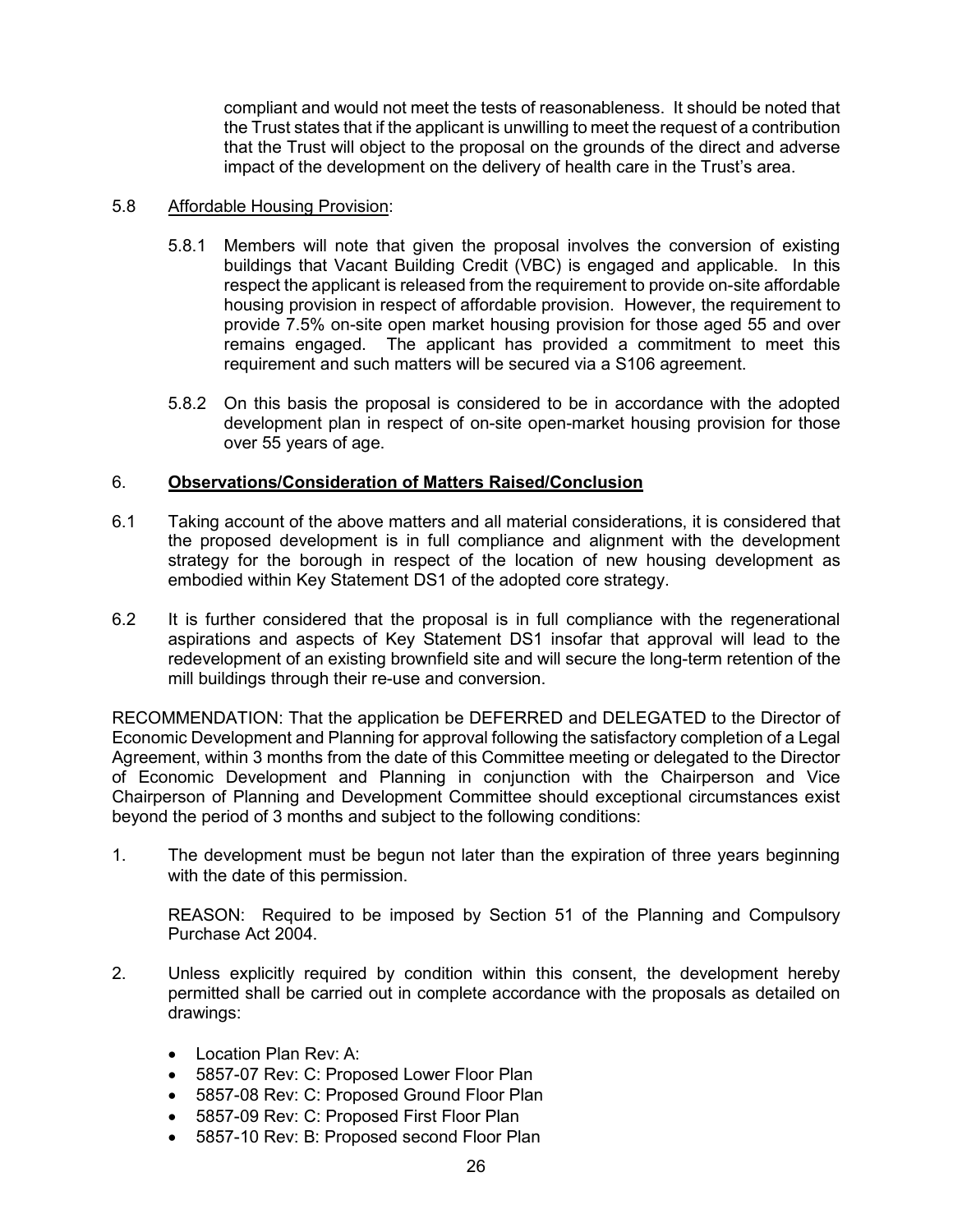compliant and would not meet the tests of reasonableness. It should be noted that the Trust states that if the applicant is unwilling to meet the request of a contribution that the Trust will object to the proposal on the grounds of the direct and adverse impact of the development on the delivery of health care in the Trust's area.

#### 5.8 Affordable Housing Provision:

- 5.8.1 Members will note that given the proposal involves the conversion of existing buildings that Vacant Building Credit (VBC) is engaged and applicable. In this respect the applicant is released from the requirement to provide on-site affordable housing provision in respect of affordable provision. However, the requirement to provide 7.5% on-site open market housing provision for those aged 55 and over remains engaged. The applicant has provided a commitment to meet this requirement and such matters will be secured via a S106 agreement.
- 5.8.2 On this basis the proposal is considered to be in accordance with the adopted development plan in respect of on-site open-market housing provision for those over 55 years of age.

## 6. **Observations/Consideration of Matters Raised/Conclusion**

- 6.1 Taking account of the above matters and all material considerations, it is considered that the proposed development is in full compliance and alignment with the development strategy for the borough in respect of the location of new housing development as embodied within Key Statement DS1 of the adopted core strategy.
- 6.2 It is further considered that the proposal is in full compliance with the regenerational aspirations and aspects of Key Statement DS1 insofar that approval will lead to the redevelopment of an existing brownfield site and will secure the long-term retention of the mill buildings through their re-use and conversion.

RECOMMENDATION: That the application be DEFERRED and DELEGATED to the Director of Economic Development and Planning for approval following the satisfactory completion of a Legal Agreement, within 3 months from the date of this Committee meeting or delegated to the Director of Economic Development and Planning in conjunction with the Chairperson and Vice Chairperson of Planning and Development Committee should exceptional circumstances exist beyond the period of 3 months and subject to the following conditions:

1. The development must be begun not later than the expiration of three years beginning with the date of this permission.

REASON: Required to be imposed by Section 51 of the Planning and Compulsory Purchase Act 2004.

- 2. Unless explicitly required by condition within this consent, the development hereby permitted shall be carried out in complete accordance with the proposals as detailed on drawings:
	- Location Plan Rev: A:
	- 5857-07 Rev: C: Proposed Lower Floor Plan
	- 5857-08 Rev: C: Proposed Ground Floor Plan
	- 5857-09 Rev: C: Proposed First Floor Plan
	- 5857-10 Rev: B: Proposed second Floor Plan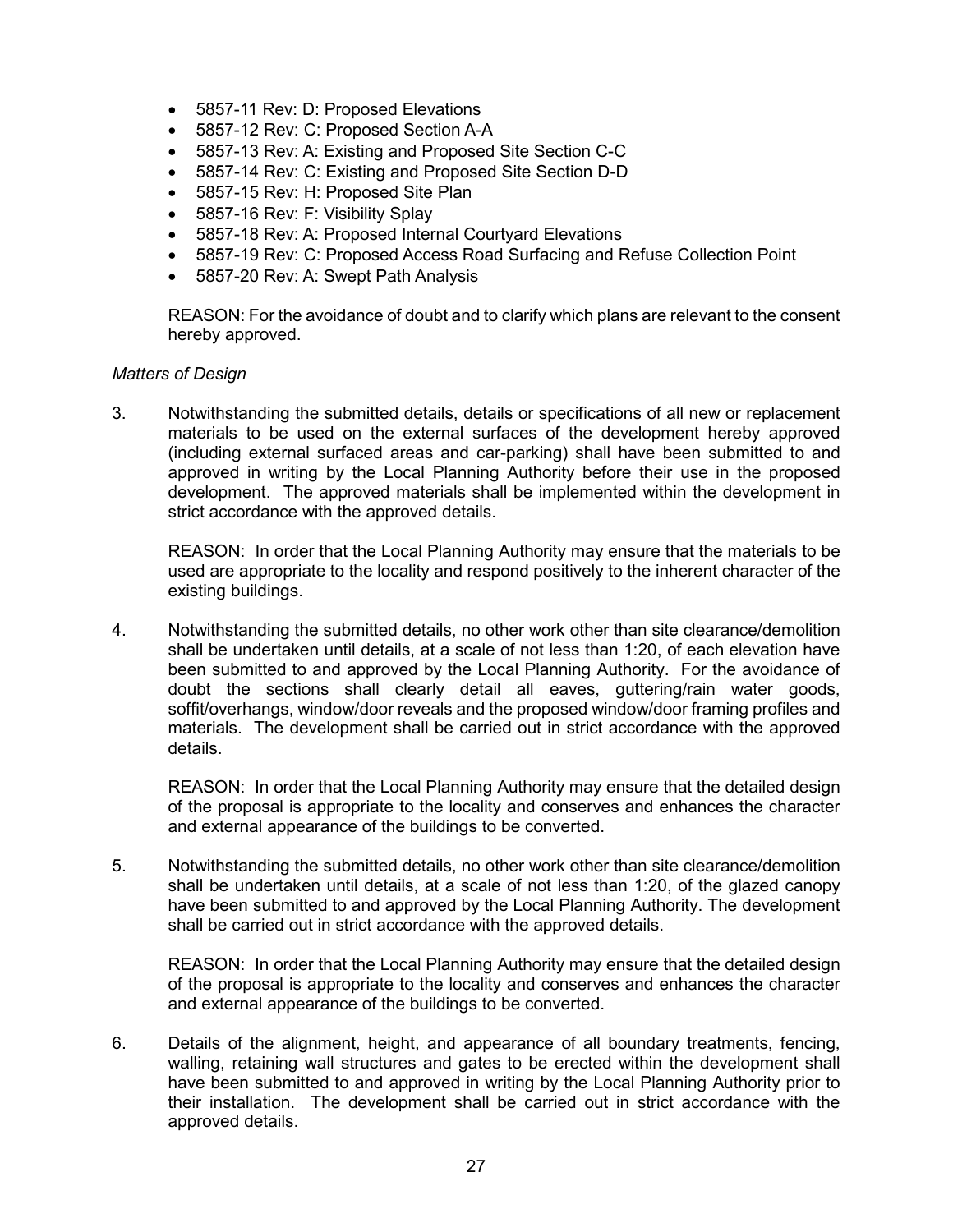- 5857-11 Rev: D: Proposed Elevations
- 5857-12 Rev: C: Proposed Section A-A
- 5857-13 Rev: A: Existing and Proposed Site Section C-C
- 5857-14 Rev: C: Existing and Proposed Site Section D-D
- 5857-15 Rev: H: Proposed Site Plan
- 5857-16 Rev: F: Visibility Splay
- 5857-18 Rev: A: Proposed Internal Courtyard Elevations
- 5857-19 Rev: C: Proposed Access Road Surfacing and Refuse Collection Point
- 5857-20 Rev: A: Swept Path Analysis

REASON: For the avoidance of doubt and to clarify which plans are relevant to the consent hereby approved.

#### *Matters of Design*

3. Notwithstanding the submitted details, details or specifications of all new or replacement materials to be used on the external surfaces of the development hereby approved (including external surfaced areas and car-parking) shall have been submitted to and approved in writing by the Local Planning Authority before their use in the proposed development. The approved materials shall be implemented within the development in strict accordance with the approved details.

REASON: In order that the Local Planning Authority may ensure that the materials to be used are appropriate to the locality and respond positively to the inherent character of the existing buildings.

4. Notwithstanding the submitted details, no other work other than site clearance/demolition shall be undertaken until details, at a scale of not less than 1:20, of each elevation have been submitted to and approved by the Local Planning Authority. For the avoidance of doubt the sections shall clearly detail all eaves, guttering/rain water goods, soffit/overhangs, window/door reveals and the proposed window/door framing profiles and materials. The development shall be carried out in strict accordance with the approved details.

REASON: In order that the Local Planning Authority may ensure that the detailed design of the proposal is appropriate to the locality and conserves and enhances the character and external appearance of the buildings to be converted.

5. Notwithstanding the submitted details, no other work other than site clearance/demolition shall be undertaken until details, at a scale of not less than 1:20, of the glazed canopy have been submitted to and approved by the Local Planning Authority. The development shall be carried out in strict accordance with the approved details.

REASON: In order that the Local Planning Authority may ensure that the detailed design of the proposal is appropriate to the locality and conserves and enhances the character and external appearance of the buildings to be converted.

6. Details of the alignment, height, and appearance of all boundary treatments, fencing, walling, retaining wall structures and gates to be erected within the development shall have been submitted to and approved in writing by the Local Planning Authority prior to their installation. The development shall be carried out in strict accordance with the approved details.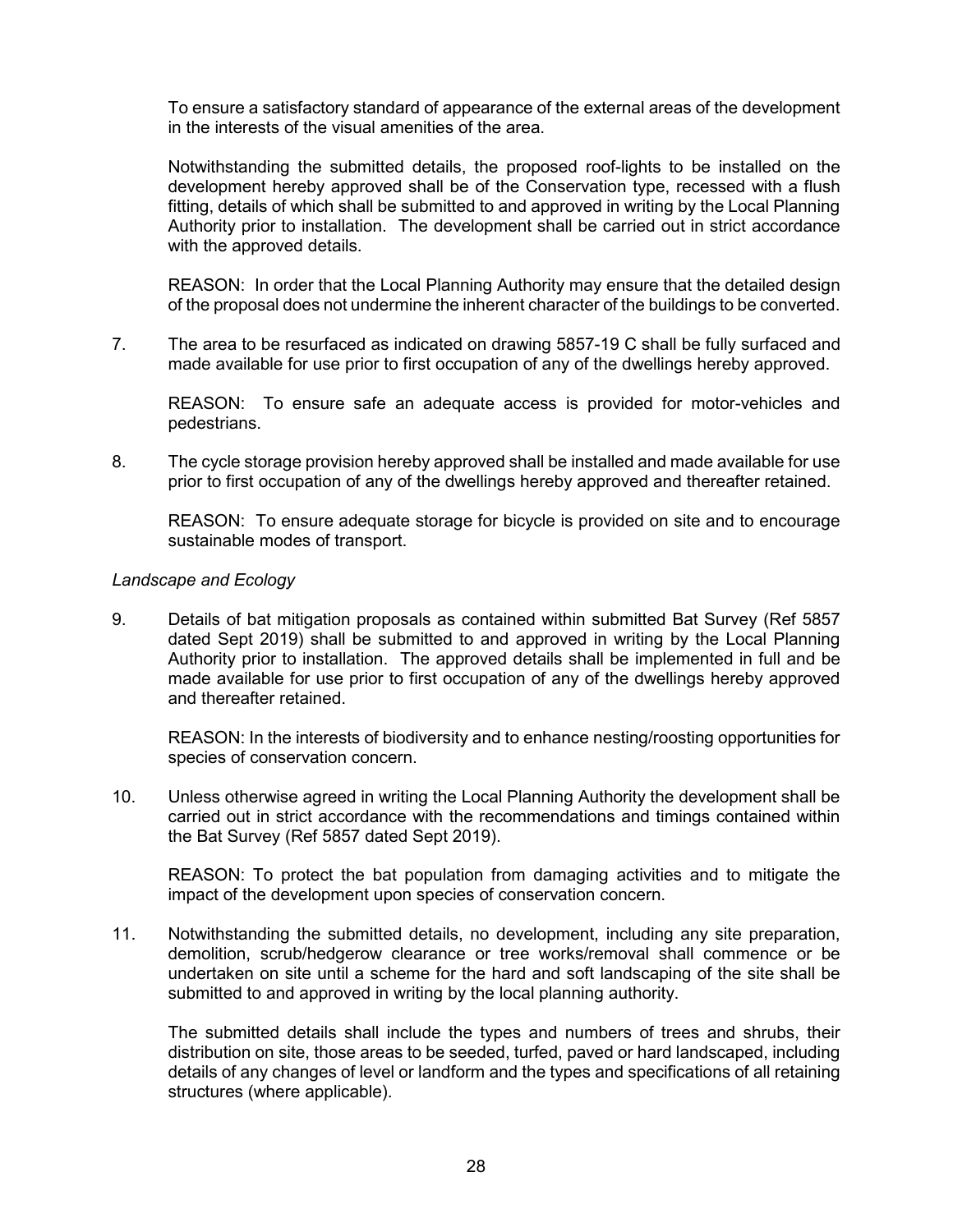To ensure a satisfactory standard of appearance of the external areas of the development in the interests of the visual amenities of the area.

Notwithstanding the submitted details, the proposed roof-lights to be installed on the development hereby approved shall be of the Conservation type, recessed with a flush fitting, details of which shall be submitted to and approved in writing by the Local Planning Authority prior to installation. The development shall be carried out in strict accordance with the approved details.

REASON: In order that the Local Planning Authority may ensure that the detailed design of the proposal does not undermine the inherent character of the buildings to be converted.

7. The area to be resurfaced as indicated on drawing 5857-19 C shall be fully surfaced and made available for use prior to first occupation of any of the dwellings hereby approved.

REASON: To ensure safe an adequate access is provided for motor-vehicles and pedestrians.

8. The cycle storage provision hereby approved shall be installed and made available for use prior to first occupation of any of the dwellings hereby approved and thereafter retained.

REASON: To ensure adequate storage for bicycle is provided on site and to encourage sustainable modes of transport.

#### *Landscape and Ecology*

9. Details of bat mitigation proposals as contained within submitted Bat Survey (Ref 5857 dated Sept 2019) shall be submitted to and approved in writing by the Local Planning Authority prior to installation. The approved details shall be implemented in full and be made available for use prior to first occupation of any of the dwellings hereby approved and thereafter retained.

REASON: In the interests of biodiversity and to enhance nesting/roosting opportunities for species of conservation concern.

10. Unless otherwise agreed in writing the Local Planning Authority the development shall be carried out in strict accordance with the recommendations and timings contained within the Bat Survey (Ref 5857 dated Sept 2019).

REASON: To protect the bat population from damaging activities and to mitigate the impact of the development upon species of conservation concern.

11. Notwithstanding the submitted details, no development, including any site preparation, demolition, scrub/hedgerow clearance or tree works/removal shall commence or be undertaken on site until a scheme for the hard and soft landscaping of the site shall be submitted to and approved in writing by the local planning authority.

The submitted details shall include the types and numbers of trees and shrubs, their distribution on site, those areas to be seeded, turfed, paved or hard landscaped, including details of any changes of level or landform and the types and specifications of all retaining structures (where applicable).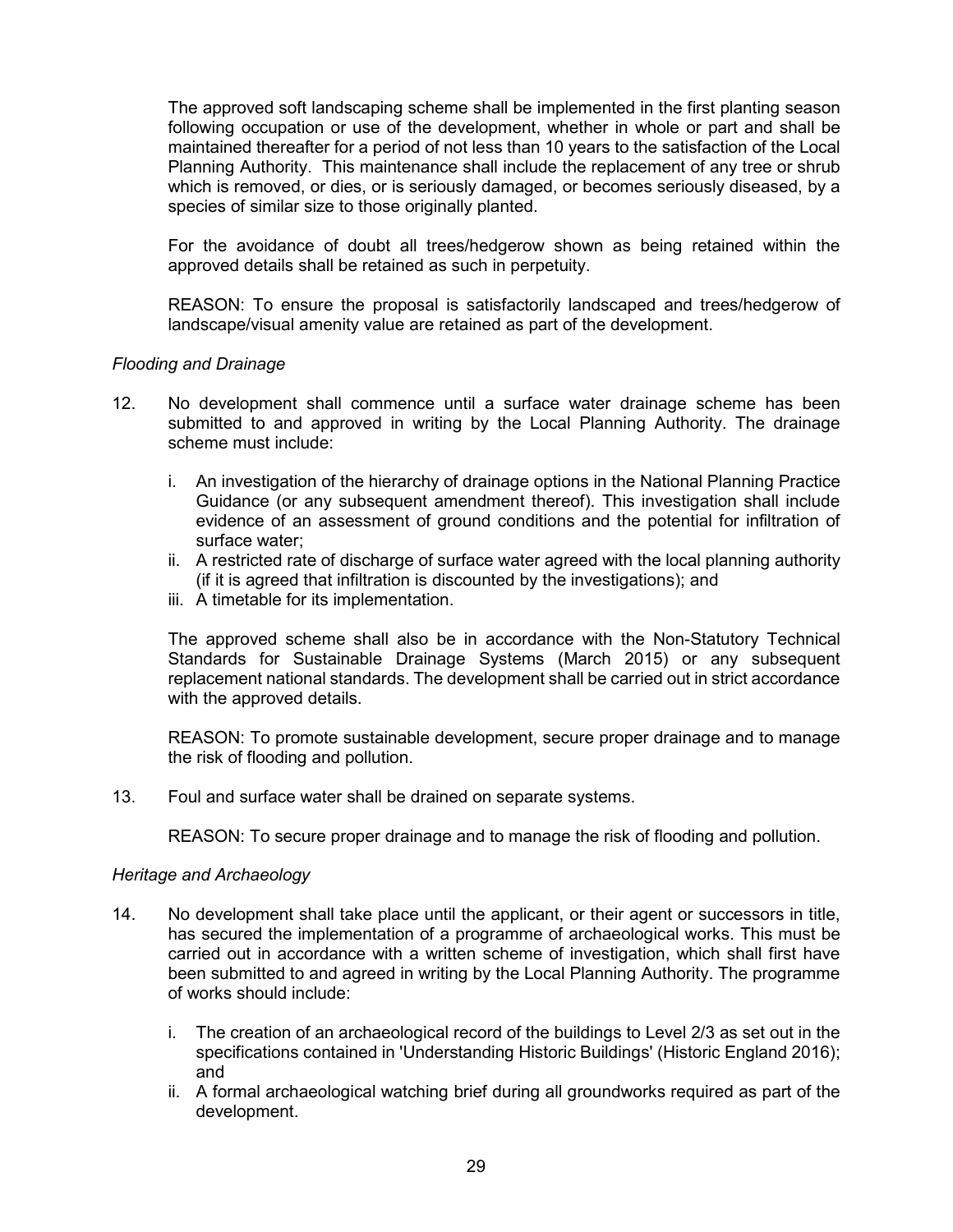The approved soft landscaping scheme shall be implemented in the first planting season following occupation or use of the development, whether in whole or part and shall be maintained thereafter for a period of not less than 10 years to the satisfaction of the Local Planning Authority. This maintenance shall include the replacement of any tree or shrub which is removed, or dies, or is seriously damaged, or becomes seriously diseased, by a species of similar size to those originally planted.

For the avoidance of doubt all trees/hedgerow shown as being retained within the approved details shall be retained as such in perpetuity.

REASON: To ensure the proposal is satisfactorily landscaped and trees/hedgerow of landscape/visual amenity value are retained as part of the development.

#### *Flooding and Drainage*

- 12. No development shall commence until a surface water drainage scheme has been submitted to and approved in writing by the Local Planning Authority. The drainage scheme must include:
	- i. An investigation of the hierarchy of drainage options in the National Planning Practice Guidance (or any subsequent amendment thereof). This investigation shall include evidence of an assessment of ground conditions and the potential for infiltration of surface water;
	- ii. A restricted rate of discharge of surface water agreed with the local planning authority (if it is agreed that infiltration is discounted by the investigations); and
	- iii. A timetable for its implementation.

The approved scheme shall also be in accordance with the Non-Statutory Technical Standards for Sustainable Drainage Systems (March 2015) or any subsequent replacement national standards. The development shall be carried out in strict accordance with the approved details.

REASON: To promote sustainable development, secure proper drainage and to manage the risk of flooding and pollution.

13. Foul and surface water shall be drained on separate systems.

REASON: To secure proper drainage and to manage the risk of flooding and pollution.

#### *Heritage and Archaeology*

- 14. No development shall take place until the applicant, or their agent or successors in title, has secured the implementation of a programme of archaeological works. This must be carried out in accordance with a written scheme of investigation, which shall first have been submitted to and agreed in writing by the Local Planning Authority. The programme of works should include:
	- i. The creation of an archaeological record of the buildings to Level 2/3 as set out in the specifications contained in 'Understanding Historic Buildings' (Historic England 2016); and
	- ii. A formal archaeological watching brief during all groundworks required as part of the development.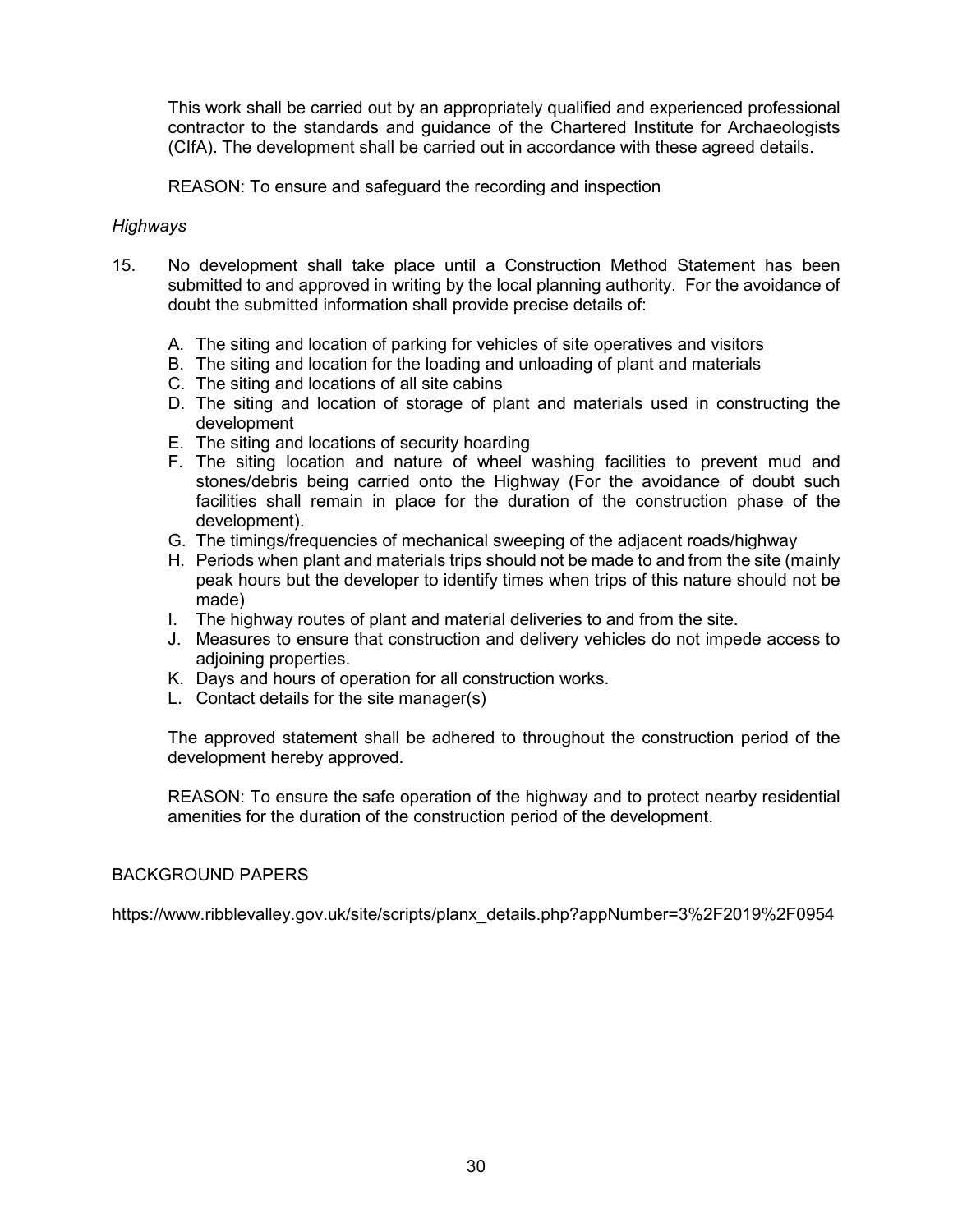This work shall be carried out by an appropriately qualified and experienced professional contractor to the standards and guidance of the Chartered Institute for Archaeologists (CIfA). The development shall be carried out in accordance with these agreed details.

REASON: To ensure and safeguard the recording and inspection

#### *Highways*

- 15. No development shall take place until a Construction Method Statement has been submitted to and approved in writing by the local planning authority. For the avoidance of doubt the submitted information shall provide precise details of:
	- A. The siting and location of parking for vehicles of site operatives and visitors
	- B. The siting and location for the loading and unloading of plant and materials
	- C. The siting and locations of all site cabins
	- D. The siting and location of storage of plant and materials used in constructing the development
	- E. The siting and locations of security hoarding
	- F. The siting location and nature of wheel washing facilities to prevent mud and stones/debris being carried onto the Highway (For the avoidance of doubt such facilities shall remain in place for the duration of the construction phase of the development).
	- G. The timings/frequencies of mechanical sweeping of the adjacent roads/highway
	- H. Periods when plant and materials trips should not be made to and from the site (mainly peak hours but the developer to identify times when trips of this nature should not be made)
	- I. The highway routes of plant and material deliveries to and from the site.
	- J. Measures to ensure that construction and delivery vehicles do not impede access to adjoining properties.
	- K. Days and hours of operation for all construction works.
	- L. Contact details for the site manager(s)

The approved statement shall be adhered to throughout the construction period of the development hereby approved.

REASON: To ensure the safe operation of the highway and to protect nearby residential amenities for the duration of the construction period of the development.

## BACKGROUND PAPERS

[https://www.ribblevalley.gov.uk/site/scripts/planx\\_details.php?appNumber=3%2F2019%2F0954](https://www.ribblevalley.gov.uk/site/scripts/planx_details.php?appNumber=3%2F2019%2F0954)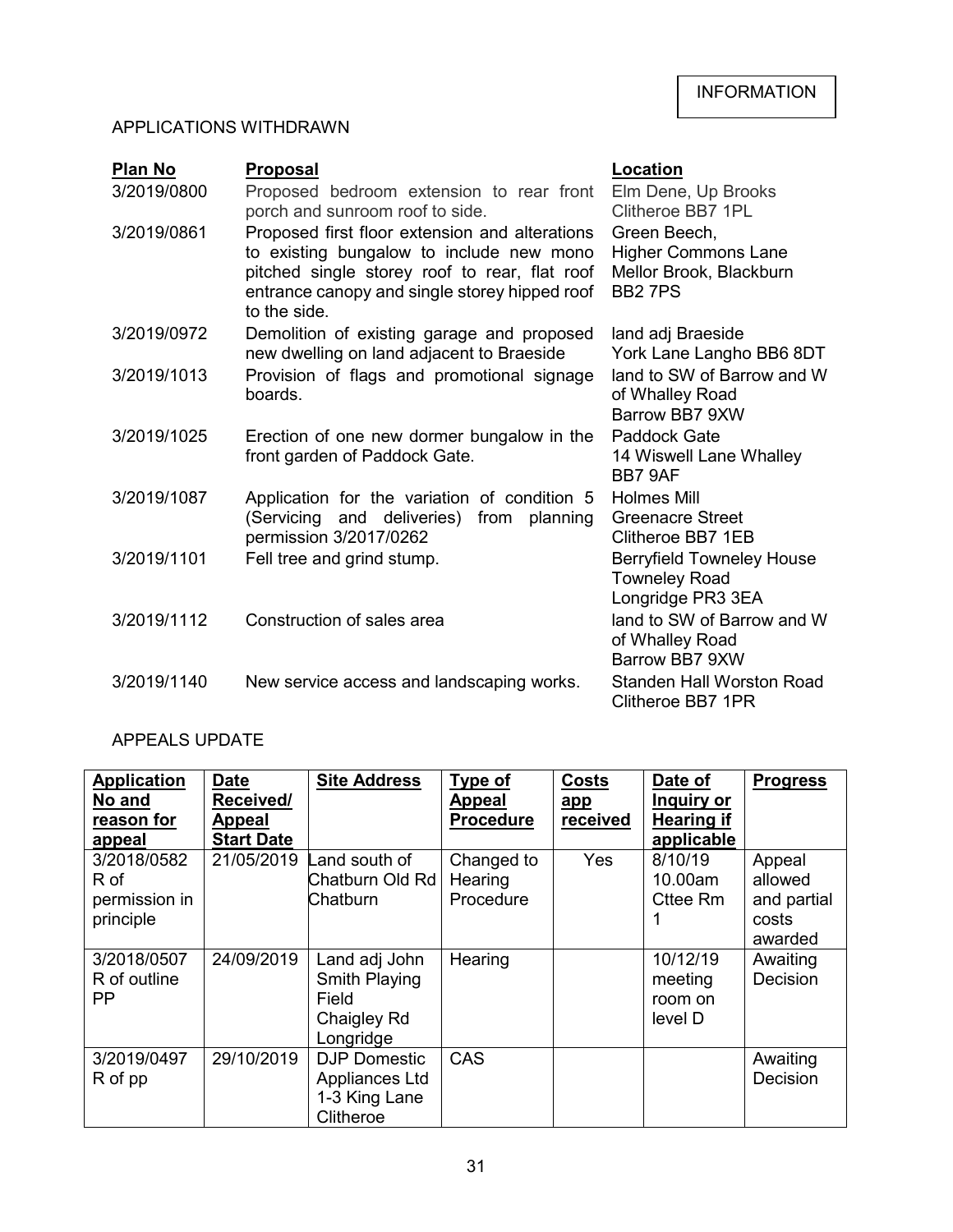# APPLICATIONS WITHDRAWN

| <b>Plan No</b> | <b>Proposal</b>                                                                                                                                                                                              | <b>Location</b>                                                                        |  |  |
|----------------|--------------------------------------------------------------------------------------------------------------------------------------------------------------------------------------------------------------|----------------------------------------------------------------------------------------|--|--|
| 3/2019/0800    | Proposed bedroom extension to rear front<br>porch and sunroom roof to side.                                                                                                                                  | Elm Dene, Up Brooks<br>Clitheroe BB7 1PL                                               |  |  |
| 3/2019/0861    | Proposed first floor extension and alterations<br>to existing bungalow to include new mono<br>pitched single storey roof to rear, flat roof<br>entrance canopy and single storey hipped roof<br>to the side. | Green Beech,<br><b>Higher Commons Lane</b><br>Mellor Brook, Blackburn<br><b>BB27PS</b> |  |  |
| 3/2019/0972    | Demolition of existing garage and proposed<br>new dwelling on land adjacent to Braeside                                                                                                                      | land adj Braeside<br>York Lane Langho BB6 8DT                                          |  |  |
| 3/2019/1013    | Provision of flags and promotional signage<br>boards.                                                                                                                                                        | land to SW of Barrow and W<br>of Whalley Road<br>Barrow BB7 9XW                        |  |  |
| 3/2019/1025    | Erection of one new dormer bungalow in the<br>front garden of Paddock Gate.                                                                                                                                  | Paddock Gate<br>14 Wiswell Lane Whalley<br>BB7 9AF                                     |  |  |
| 3/2019/1087    | Application for the variation of condition 5<br>and deliveries)<br>from planning<br>(Servicing<br>permission 3/2017/0262                                                                                     | <b>Holmes Mill</b><br>Greenacre Street<br>Clitheroe BB7 1EB                            |  |  |
| 3/2019/1101    | Fell tree and grind stump.                                                                                                                                                                                   | <b>Berryfield Towneley House</b><br><b>Towneley Road</b><br>Longridge PR3 3EA          |  |  |
| 3/2019/1112    | Construction of sales area                                                                                                                                                                                   | land to SW of Barrow and W<br>of Whalley Road<br>Barrow BB7 9XW                        |  |  |
| 3/2019/1140    | New service access and landscaping works.                                                                                                                                                                    | <b>Standen Hall Worston Road</b><br>Clitheroe BB7 1PR                                  |  |  |

# APPEALS UPDATE

| <b>Application</b><br>No and                      | <b>Date</b><br>Received/ | <b>Site Address</b>                                                 | Type of<br><b>Appeal</b>           | <b>Costs</b><br>app | Date of<br>Inquiry or                     | <b>Progress</b>                                      |
|---------------------------------------------------|--------------------------|---------------------------------------------------------------------|------------------------------------|---------------------|-------------------------------------------|------------------------------------------------------|
| reason for                                        | <b>Appeal</b>            |                                                                     | <b>Procedure</b>                   | received            | <b>Hearing if</b>                         |                                                      |
| appeal                                            | <b>Start Date</b>        |                                                                     |                                    |                     | applicable                                |                                                      |
| 3/2018/0582<br>R of<br>permission in<br>principle | 21/05/2019               | Land south of<br>Chatburn Old Rd<br>Chatburn                        | Changed to<br>Hearing<br>Procedure | Yes                 | 8/10/19<br>10.00am<br>Cttee Rm            | Appeal<br>allowed<br>and partial<br>costs<br>awarded |
| 3/2018/0507<br>R of outline<br><b>PP</b>          | 24/09/2019               | Land adj John<br>Smith Playing<br>Field<br>Chaigley Rd<br>Longridge | Hearing                            |                     | 10/12/19<br>meeting<br>room on<br>level D | Awaiting<br>Decision                                 |
| 3/2019/0497<br>R of pp                            | 29/10/2019               | <b>DJP Domestic</b><br>Appliances Ltd<br>1-3 King Lane<br>Clitheroe | CAS                                |                     |                                           | Awaiting<br>Decision                                 |